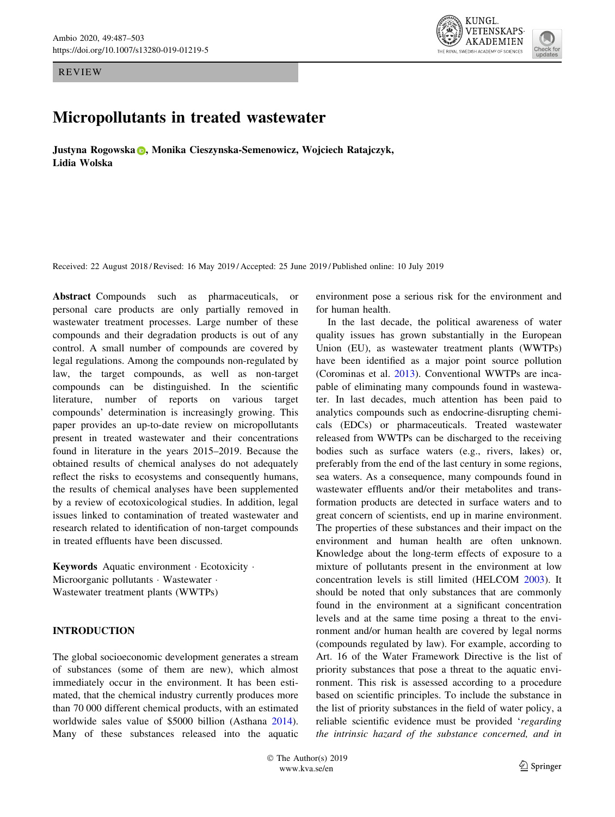REVIEW

# Micropollutants in treated wastewater

Justyn[a](http://orcid.org/0000-0002-5556-3658) Rogowska **(b.** Monika Cieszynska-Semenowicz, Wojciech Ratajczyk, Lidia Wolska

Received: 22 August 2018 / Revised: 16 May 2019 / Accepted: 25 June 2019 / Published online: 10 July 2019

Abstract Compounds such as pharmaceuticals, or personal care products are only partially removed in wastewater treatment processes. Large number of these compounds and their degradation products is out of any control. A small number of compounds are covered by legal regulations. Among the compounds non-regulated by law, the target compounds, as well as non-target compounds can be distinguished. In the scientific literature, number of reports on various target compounds' determination is increasingly growing. This paper provides an up-to-date review on micropollutants present in treated wastewater and their concentrations found in literature in the years 2015–2019. Because the obtained results of chemical analyses do not adequately reflect the risks to ecosystems and consequently humans, the results of chemical analyses have been supplemented by a review of ecotoxicological studies. In addition, legal issues linked to contamination of treated wastewater and research related to identification of non-target compounds in treated effluents have been discussed.

Keywords Aquatic environment - Ecotoxicity - Microorganic pollutants · Wastewater · Wastewater treatment plants (WWTPs)

# INTRODUCTION

The global socioeconomic development generates a stream of substances (some of them are new), which almost immediately occur in the environment. It has been estimated, that the chemical industry currently produces more than 70 000 different chemical products, with an estimated worldwide sales value of \$5000 billion (Asthana [2014](#page-13-0)). Many of these substances released into the aquatic environment pose a serious risk for the environment and for human health.

In the last decade, the political awareness of water quality issues has grown substantially in the European Union (EU), as wastewater treatment plants (WWTPs) have been identified as a major point source pollution (Corominas et al. [2013](#page-13-0)). Conventional WWTPs are incapable of eliminating many compounds found in wastewater. In last decades, much attention has been paid to analytics compounds such as endocrine-disrupting chemicals (EDCs) or pharmaceuticals. Treated wastewater released from WWTPs can be discharged to the receiving bodies such as surface waters (e.g., rivers, lakes) or, preferably from the end of the last century in some regions, sea waters. As a consequence, many compounds found in wastewater effluents and/or their metabolites and transformation products are detected in surface waters and to great concern of scientists, end up in marine environment. The properties of these substances and their impact on the environment and human health are often unknown. Knowledge about the long-term effects of exposure to a mixture of pollutants present in the environment at low concentration levels is still limited (HELCOM [2003\)](#page-14-0). It should be noted that only substances that are commonly found in the environment at a significant concentration levels and at the same time posing a threat to the environment and/or human health are covered by legal norms (compounds regulated by law). For example, according to Art. 16 of the Water Framework Directive is the list of priority substances that pose a threat to the aquatic environment. This risk is assessed according to a procedure based on scientific principles. To include the substance in the list of priority substances in the field of water policy, a reliable scientific evidence must be provided 'regarding the intrinsic hazard of the substance concerned, and in

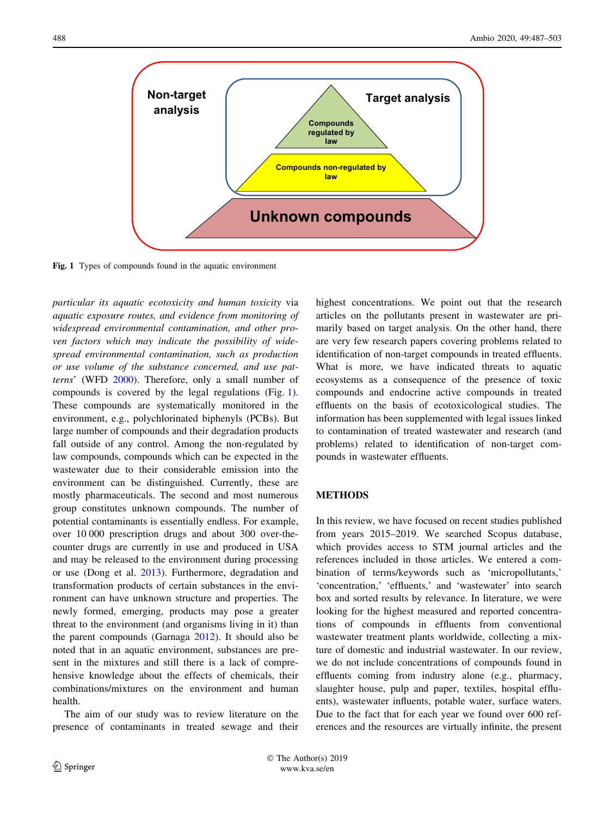

Fig. 1 Types of compounds found in the aquatic environment

particular its aquatic ecotoxicity and human toxicity via aquatic exposure routes, and evidence from monitoring of widespread environmental contamination, and other proven factors which may indicate the possibility of widespread environmental contamination, such as production or use volume of the substance concerned, and use patterns' (WFD [2000](#page-16-0)). Therefore, only a small number of compounds is covered by the legal regulations (Fig. 1). These compounds are systematically monitored in the environment, e.g., polychlorinated biphenyls (PCBs). But large number of compounds and their degradation products fall outside of any control. Among the non-regulated by law compounds, compounds which can be expected in the wastewater due to their considerable emission into the environment can be distinguished. Currently, these are mostly pharmaceuticals. The second and most numerous group constitutes unknown compounds. The number of potential contaminants is essentially endless. For example, over 10 000 prescription drugs and about 300 over-thecounter drugs are currently in use and produced in USA and may be released to the environment during processing or use (Dong et al. [2013](#page-14-0)). Furthermore, degradation and transformation products of certain substances in the environment can have unknown structure and properties. The newly formed, emerging, products may pose a greater threat to the environment (and organisms living in it) than the parent compounds (Garnaga [2012](#page-14-0)). It should also be noted that in an aquatic environment, substances are present in the mixtures and still there is a lack of comprehensive knowledge about the effects of chemicals, their combinations/mixtures on the environment and human health.

The aim of our study was to review literature on the presence of contaminants in treated sewage and their highest concentrations. We point out that the research articles on the pollutants present in wastewater are primarily based on target analysis. On the other hand, there are very few research papers covering problems related to identification of non-target compounds in treated effluents. What is more, we have indicated threats to aquatic ecosystems as a consequence of the presence of toxic compounds and endocrine active compounds in treated effluents on the basis of ecotoxicological studies. The information has been supplemented with legal issues linked to contamination of treated wastewater and research (and problems) related to identification of non-target compounds in wastewater effluents.

## METHODS

In this review, we have focused on recent studies published from years 2015–2019. We searched Scopus database, which provides access to STM journal articles and the references included in those articles. We entered a combination of terms/keywords such as 'micropollutants,' 'concentration,' 'effluents,' and 'wastewater' into search box and sorted results by relevance. In literature, we were looking for the highest measured and reported concentrations of compounds in effluents from conventional wastewater treatment plants worldwide, collecting a mixture of domestic and industrial wastewater. In our review, we do not include concentrations of compounds found in effluents coming from industry alone (e.g., pharmacy, slaughter house, pulp and paper, textiles, hospital effluents), wastewater influents, potable water, surface waters. Due to the fact that for each year we found over 600 references and the resources are virtually infinite, the present

 The Author(s) 2019 www.kva.se/en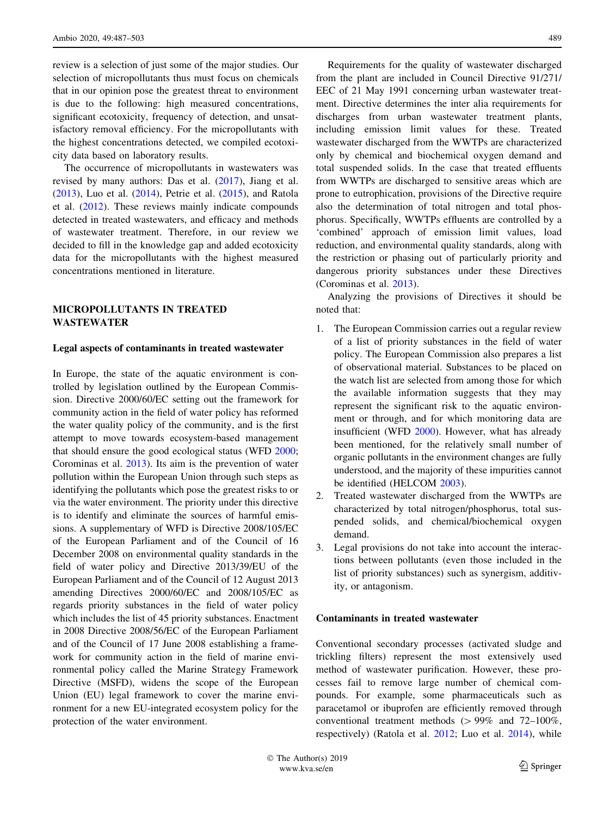review is a selection of just some of the major studies. Our selection of micropollutants thus must focus on chemicals that in our opinion pose the greatest threat to environment is due to the following: high measured concentrations, significant ecotoxicity, frequency of detection, and unsatisfactory removal efficiency. For the micropollutants with the highest concentrations detected, we compiled ecotoxicity data based on laboratory results.

The occurrence of micropollutants in wastewaters was revised by many authors: Das et al. ([2017\)](#page-13-0), Jiang et al. [\(2013](#page-14-0)), Luo et al. [\(2014](#page-15-0)), Petrie et al. [\(2015](#page-15-0)), and Ratola et al. [\(2012](#page-15-0)). These reviews mainly indicate compounds detected in treated wastewaters, and efficacy and methods of wastewater treatment. Therefore, in our review we decided to fill in the knowledge gap and added ecotoxicity data for the micropollutants with the highest measured concentrations mentioned in literature.

# MICROPOLLUTANTS IN TREATED WASTEWATER

#### Legal aspects of contaminants in treated wastewater

In Europe, the state of the aquatic environment is controlled by legislation outlined by the European Commission. Directive 2000/60/EC setting out the framework for community action in the field of water policy has reformed the water quality policy of the community, and is the first attempt to move towards ecosystem-based management that should ensure the good ecological status (WFD [2000](#page-16-0); Corominas et al. [2013](#page-13-0)). Its aim is the prevention of water pollution within the European Union through such steps as identifying the pollutants which pose the greatest risks to or via the water environment. The priority under this directive is to identify and eliminate the sources of harmful emissions. A supplementary of WFD is Directive 2008/105/EC of the European Parliament and of the Council of 16 December 2008 on environmental quality standards in the field of water policy and Directive 2013/39/EU of the European Parliament and of the Council of 12 August 2013 amending Directives 2000/60/EC and 2008/105/EC as regards priority substances in the field of water policy which includes the list of 45 priority substances. Enactment in 2008 Directive 2008/56/EC of the European Parliament and of the Council of 17 June 2008 establishing a framework for community action in the field of marine environmental policy called the Marine Strategy Framework Directive (MSFD), widens the scope of the European Union (EU) legal framework to cover the marine environment for a new EU-integrated ecosystem policy for the protection of the water environment.

Requirements for the quality of wastewater discharged from the plant are included in Council Directive 91/271/ EEC of 21 May 1991 concerning urban wastewater treatment. Directive determines the inter alia requirements for discharges from urban wastewater treatment plants, including emission limit values for these. Treated wastewater discharged from the WWTPs are characterized only by chemical and biochemical oxygen demand and total suspended solids. In the case that treated effluents from WWTPs are discharged to sensitive areas which are prone to eutrophication, provisions of the Directive require also the determination of total nitrogen and total phosphorus. Specifically, WWTPs effluents are controlled by a 'combined' approach of emission limit values, load reduction, and environmental quality standards, along with the restriction or phasing out of particularly priority and dangerous priority substances under these Directives (Corominas et al. [2013](#page-13-0)).

Analyzing the provisions of Directives it should be noted that:

- 1. The European Commission carries out a regular review of a list of priority substances in the field of water policy. The European Commission also prepares a list of observational material. Substances to be placed on the watch list are selected from among those for which the available information suggests that they may represent the significant risk to the aquatic environment or through, and for which monitoring data are insufficient (WFD [2000\)](#page-16-0). However, what has already been mentioned, for the relatively small number of organic pollutants in the environment changes are fully understood, and the majority of these impurities cannot be identified (HELCOM [2003](#page-14-0)).
- 2. Treated wastewater discharged from the WWTPs are characterized by total nitrogen/phosphorus, total suspended solids, and chemical/biochemical oxygen demand.
- 3. Legal provisions do not take into account the interactions between pollutants (even those included in the list of priority substances) such as synergism, additivity, or antagonism.

#### Contaminants in treated wastewater

Conventional secondary processes (activated sludge and trickling filters) represent the most extensively used method of wastewater purification. However, these processes fail to remove large number of chemical compounds. For example, some pharmaceuticals such as paracetamol or ibuprofen are efficiently removed through conventional treatment methods  $(> 99\%$  and  $72-100\%$ , respectively) (Ratola et al. [2012](#page-15-0); Luo et al. [2014](#page-15-0)), while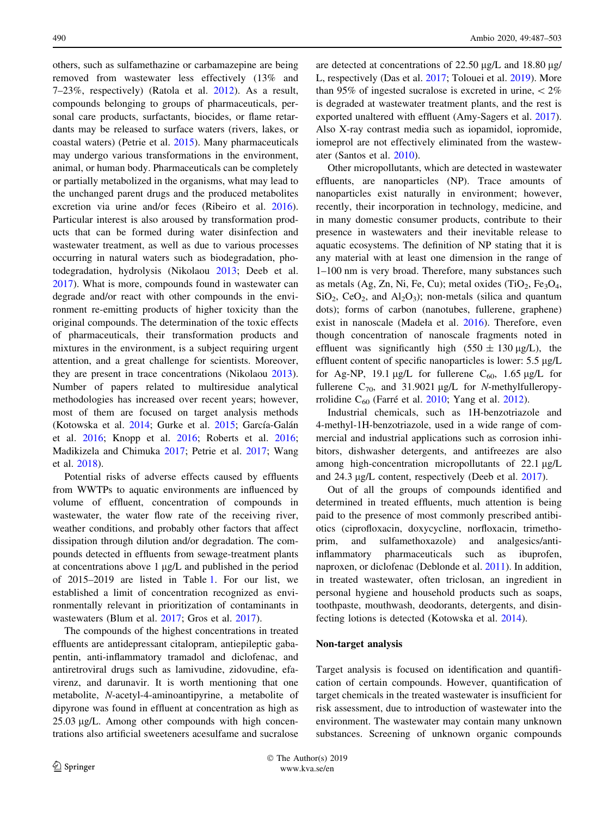others, such as sulfamethazine or carbamazepine are being removed from wastewater less effectively (13% and 7–23%, respectively) (Ratola et al. [2012\)](#page-15-0). As a result, compounds belonging to groups of pharmaceuticals, personal care products, surfactants, biocides, or flame retardants may be released to surface waters (rivers, lakes, or coastal waters) (Petrie et al. [2015](#page-15-0)). Many pharmaceuticals may undergo various transformations in the environment, animal, or human body. Pharmaceuticals can be completely or partially metabolized in the organisms, what may lead to the unchanged parent drugs and the produced metabolites excretion via urine and/or feces (Ribeiro et al. [2016](#page-15-0)). Particular interest is also aroused by transformation products that can be formed during water disinfection and wastewater treatment, as well as due to various processes occurring in natural waters such as biodegradation, photodegradation, hydrolysis (Nikolaou [2013](#page-15-0); Deeb et al. [2017\)](#page-13-0). What is more, compounds found in wastewater can degrade and/or react with other compounds in the environment re-emitting products of higher toxicity than the original compounds. The determination of the toxic effects of pharmaceuticals, their transformation products and mixtures in the environment, is a subject requiring urgent attention, and a great challenge for scientists. Moreover, they are present in trace concentrations (Nikolaou [2013](#page-15-0)). Number of papers related to multiresidue analytical methodologies has increased over recent years; however, most of them are focused on target analysis methods (Kotowska et al. [2014](#page-15-0); Gurke et al. [2015;](#page-14-0) García-Galán et al. [2016](#page-14-0); Knopp et al. [2016](#page-15-0); Roberts et al. [2016](#page-15-0); Madikizela and Chimuka [2017](#page-15-0); Petrie et al. [2017](#page-15-0); Wang et al. [2018\)](#page-16-0).

Potential risks of adverse effects caused by effluents from WWTPs to aquatic environments are influenced by volume of effluent, concentration of compounds in wastewater, the water flow rate of the receiving river, weather conditions, and probably other factors that affect dissipation through dilution and/or degradation. The compounds detected in effluents from sewage-treatment plants at concentrations above  $1 \mu g/L$  and published in the period of 2015–2019 are listed in Table [1.](#page-4-0) For our list, we established a limit of concentration recognized as environmentally relevant in prioritization of contaminants in wastewaters (Blum et al. [2017;](#page-13-0) Gros et al. [2017](#page-14-0)).

The compounds of the highest concentrations in treated effluents are antidepressant citalopram, antiepileptic gabapentin, anti-inflammatory tramadol and diclofenac, and antiretroviral drugs such as lamivudine, zidovudine, efavirenz, and darunavir. It is worth mentioning that one metabolite, N-acetyl-4-aminoantipyrine, a metabolite of dipyrone was found in effluent at concentration as high as  $25.03 \mu g/L$ . Among other compounds with high concentrations also artificial sweeteners acesulfame and sucralose are detected at concentrations of  $22.50 \text{ µg/L}$  and  $18.80 \text{ µg}$ L, respectively (Das et al. [2017](#page-13-0); Tolouei et al. [2019](#page-16-0)). More than 95% of ingested sucralose is excreted in urine,  $\langle 2\%$ is degraded at wastewater treatment plants, and the rest is exported unaltered with effluent (Amy-Sagers et al. [2017](#page-13-0)). Also X-ray contrast media such as iopamidol, iopromide, iomeprol are not effectively eliminated from the wastewater (Santos et al. [2010](#page-16-0)).

Other micropollutants, which are detected in wastewater effluents, are nanoparticles (NP). Trace amounts of nanoparticles exist naturally in environment; however, recently, their incorporation in technology, medicine, and in many domestic consumer products, contribute to their presence in wastewaters and their inevitable release to aquatic ecosystems. The definition of NP stating that it is any material with at least one dimension in the range of 1–100 nm is very broad. Therefore, many substances such as metals (Ag, Zn, Ni, Fe, Cu); metal oxides (TiO<sub>2</sub>, Fe<sub>3</sub>O<sub>4</sub>,  $SiO<sub>2</sub>$ , CeO<sub>2</sub>, and Al<sub>2</sub>O<sub>3</sub>); non-metals (silica and quantum dots); forms of carbon (nanotubes, fullerene, graphene) exist in nanoscale (Madeła et al. [2016\)](#page-15-0). Therefore, even though concentration of nanoscale fragments noted in effluent was significantly high  $(550 \pm 130 \,\mu g/L)$ , the effluent content of specific nanoparticles is lower:  $5.5 \mu g/L$ for Ag-NP, 19.1  $\mu$ g/L for fullerene C<sub>60</sub>, 1.65  $\mu$ g/L for fullerene  $C_{70}$ , and 31.9021 µg/L for *N*-methylfulleropyrrolidine  $C_{60}$  (Farré et al. [2010;](#page-14-0) Yang et al. [2012\)](#page-16-0).

Industrial chemicals, such as 1H-benzotriazole and 4-methyl-1H-benzotriazole, used in a wide range of commercial and industrial applications such as corrosion inhibitors, dishwasher detergents, and antifreezes are also among high-concentration micropollutants of  $22.1 \mu g/L$ and 24.3 µg/L content, respectively (Deeb et al. [2017](#page-13-0)).

Out of all the groups of compounds identified and determined in treated effluents, much attention is being paid to the presence of most commonly prescribed antibiotics (ciprofloxacin, doxycycline, norfloxacin, trimethoprim, and sulfamethoxazole) and analgesics/antiinflammatory pharmaceuticals such as ibuprofen, naproxen, or diclofenac (Deblonde et al. [2011\)](#page-13-0). In addition, in treated wastewater, often triclosan, an ingredient in personal hygiene and household products such as soaps, toothpaste, mouthwash, deodorants, detergents, and disinfecting lotions is detected (Kotowska et al. [2014](#page-15-0)).

#### Non-target analysis

Target analysis is focused on identification and quantification of certain compounds. However, quantification of target chemicals in the treated wastewater is insufficient for risk assessment, due to introduction of wastewater into the environment. The wastewater may contain many unknown substances. Screening of unknown organic compounds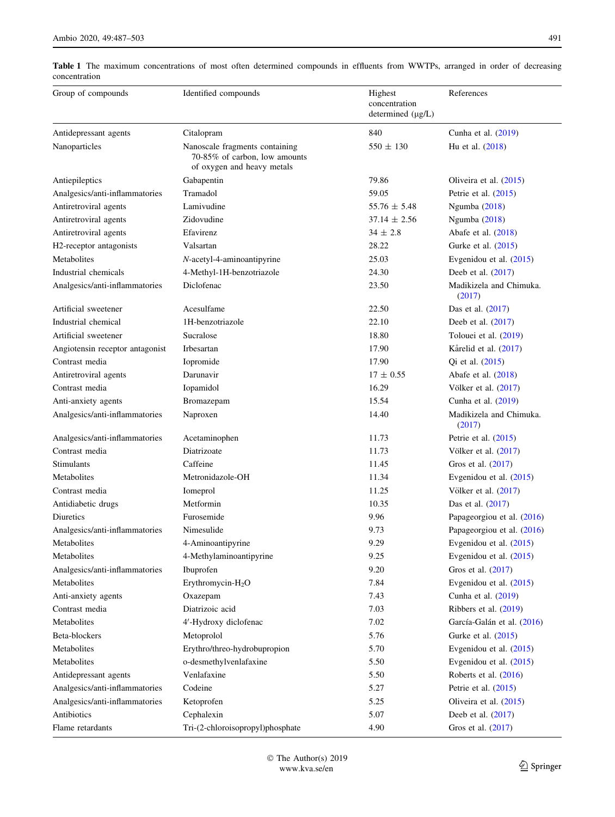<span id="page-4-0"></span>Table 1 The maximum concentrations of most often determined compounds in effluents from WWTPs, arranged in order of decreasing concentration

| Group of compounds              | Identified compounds                                                                          | Highest<br>concentration<br>determined $(\mu g/L)$ | References                        |
|---------------------------------|-----------------------------------------------------------------------------------------------|----------------------------------------------------|-----------------------------------|
| Antidepressant agents           | Citalopram                                                                                    | 840                                                | Cunha et al. (2019)               |
| Nanoparticles                   | Nanoscale fragments containing<br>70-85% of carbon, low amounts<br>of oxygen and heavy metals | $550 \pm 130$                                      | Hu et al. (2018)                  |
| Antiepileptics                  | Gabapentin                                                                                    | 79.86                                              | Oliveira et al. $(2015)$          |
| Analgesics/anti-inflammatories  | Tramadol                                                                                      | 59.05                                              | Petrie et al. $(2015)$            |
| Antiretroviral agents           | Lamivudine                                                                                    | $55.76 \pm 5.48$                                   | Ngumba $(2018)$                   |
| Antiretroviral agents           | Zidovudine                                                                                    | $37.14 \pm 2.56$                                   | Ngumba $(2018)$                   |
| Antiretroviral agents           | Efavirenz                                                                                     | $34 \pm 2.8$                                       | Abafe et al. $(2018)$             |
| H2-receptor antagonists         | Valsartan                                                                                     | 28.22                                              | Gurke et al. (2015)               |
| Metabolites                     | N-acetyl-4-aminoantipyrine                                                                    | 25.03                                              | Evgenidou et al. (2015)           |
| Industrial chemicals            | 4-Methyl-1H-benzotriazole                                                                     | 24.30                                              | Deeb et al. (2017)                |
| Analgesics/anti-inflammatories  | Diclofenac                                                                                    | 23.50                                              | Madikizela and Chimuka.<br>(2017) |
| Artificial sweetener            | Acesulfame                                                                                    | 22.50                                              | Das et al. (2017)                 |
| Industrial chemical             | 1H-benzotriazole                                                                              | 22.10                                              | Deeb et al. (2017)                |
| Artificial sweetener            | Sucralose                                                                                     | 18.80                                              | Tolouei et al. (2019)             |
| Angiotensin receptor antagonist | Irbesartan                                                                                    | 17.90                                              | Kårelid et al. (2017)             |
| Contrast media                  | Iopromide                                                                                     | 17.90                                              | Qi et al. (2015)                  |
| Antiretroviral agents           | Darunavir                                                                                     | $17 \pm 0.55$                                      | Abafe et al. (2018)               |
| Contrast media                  | Iopamidol                                                                                     | 16.29                                              | Völker et al. $(2017)$            |
| Anti-anxiety agents             | Bromazepam                                                                                    | 15.54                                              | Cunha et al. $(2019)$             |
| Analgesics/anti-inflammatories  | Naproxen                                                                                      | 14.40                                              | Madikizela and Chimuka.<br>(2017) |
| Analgesics/anti-inflammatories  | Acetaminophen                                                                                 | 11.73                                              | Petrie et al. $(2015)$            |
| Contrast media                  | Diatrizoate                                                                                   | 11.73                                              | Völker et al. $(2017)$            |
| Stimulants                      | Caffeine                                                                                      | 11.45                                              | Gros et al. (2017)                |
| Metabolites                     | Metronidazole-OH                                                                              | 11.34                                              | Evgenidou et al. (2015)           |
| Contrast media                  | Iomeprol                                                                                      | 11.25                                              | Völker et al. (2017)              |
| Antidiabetic drugs              | Metformin                                                                                     | 10.35                                              | Das et al. (2017)                 |
| Diuretics                       | Furosemide                                                                                    | 9.96                                               | Papageorgiou et al. (2016)        |
| Analgesics/anti-inflammatories  | Nimesulide                                                                                    | 9.73                                               | Papageorgiou et al. (2016)        |
| <b>Metabolites</b>              | 4-Aminoantipyrine                                                                             | 9.29                                               | Evgenidou et al. $(2015)$         |
| Metabolites                     | 4-Methylaminoantipyrine                                                                       | 9.25                                               | Evgenidou et al. (2015)           |
| Analgesics/anti-inflammatories  | Ibuprofen                                                                                     | 9.20                                               | Gros et al. (2017)                |
| Metabolites                     | Erythromycin-H <sub>2</sub> O                                                                 | 7.84                                               | Evgenidou et al. (2015)           |
| Anti-anxiety agents             | Oxazepam                                                                                      | 7.43                                               | Cunha et al. (2019)               |
| Contrast media                  | Diatrizoic acid                                                                               | 7.03                                               | Ribbers et al. (2019)             |
| Metabolites                     | 4'-Hydroxy diclofenac                                                                         | 7.02                                               | García-Galán et al. (2016)        |
| Beta-blockers                   | Metoprolol                                                                                    | 5.76                                               | Gurke et al. (2015)               |
| Metabolites                     | Erythro/threo-hydrobupropion                                                                  | 5.70                                               | Evgenidou et al. (2015)           |
| Metabolites                     | o-desmethylvenlafaxine                                                                        | 5.50                                               | Evgenidou et al. (2015)           |
| Antidepressant agents           | Venlafaxine                                                                                   | 5.50                                               | Roberts et al. $(2016)$           |
| Analgesics/anti-inflammatories  | Codeine                                                                                       | 5.27                                               | Petrie et al. $(2015)$            |
| Analgesics/anti-inflammatories  | Ketoprofen                                                                                    | 5.25                                               | Oliveira et al. (2015)            |
| Antibiotics                     | Cephalexin                                                                                    | 5.07                                               | Deeb et al. (2017)                |
| Flame retardants                | Tri-(2-chloroisopropyl)phosphate                                                              | 4.90                                               | Gros et al. (2017)                |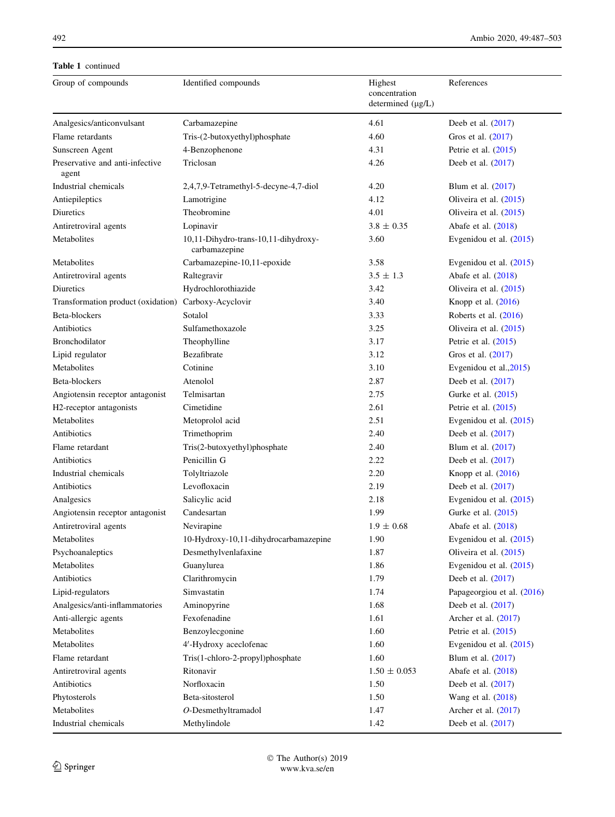# Table 1 continued

| Group of compounds                                   | Identified compounds                                  | Highest<br>concentration<br>determined $(\mu g/L)$ | References                 |
|------------------------------------------------------|-------------------------------------------------------|----------------------------------------------------|----------------------------|
| Analgesics/anticonvulsant                            | Carbamazepine                                         | 4.61                                               | Deeb et al. (2017)         |
| Flame retardants                                     | Tris-(2-butoxyethyl)phosphate                         | 4.60                                               | Gros et al. (2017)         |
| Sunscreen Agent                                      | 4-Benzophenone                                        | 4.31                                               | Petrie et al. $(2015)$     |
| Preservative and anti-infective<br>agent             | Triclosan                                             | 4.26                                               | Deeb et al. (2017)         |
| Industrial chemicals                                 | 2,4,7,9-Tetramethyl-5-decyne-4,7-diol                 | 4.20                                               | Blum et al. (2017)         |
| Antiepileptics                                       | Lamotrigine                                           | 4.12                                               | Oliveira et al. (2015)     |
| Diuretics                                            | Theobromine                                           | 4.01                                               | Oliveira et al. (2015)     |
| Antiretroviral agents                                | Lopinavir                                             | $3.8 \pm 0.35$                                     | Abafe et al. $(2018)$      |
| Metabolites                                          | 10,11-Dihydro-trans-10,11-dihydroxy-<br>carbamazepine | 3.60                                               | Evgenidou et al. (2015)    |
| Metabolites                                          | Carbamazepine-10,11-epoxide                           | 3.58                                               | Evgenidou et al. (2015)    |
| Antiretroviral agents                                | Raltegravir                                           | $3.5 \pm 1.3$                                      | Abafe et al. (2018)        |
| Diuretics                                            | Hydrochlorothiazide                                   | 3.42                                               | Oliveira et al. (2015)     |
| Transformation product (oxidation) Carboxy-Acyclovir |                                                       | 3.40                                               | Knopp et al. $(2016)$      |
| Beta-blockers                                        | Sotalol                                               | 3.33                                               | Roberts et al. $(2016)$    |
| Antibiotics                                          | Sulfamethoxazole                                      | 3.25                                               | Oliveira et al. $(2015)$   |
| <b>Bronchodilator</b>                                | Theophylline                                          | 3.17                                               | Petrie et al. $(2015)$     |
| Lipid regulator                                      | Bezafibrate                                           | 3.12                                               | Gros et al. (2017)         |
| Metabolites                                          | Cotinine                                              | 3.10                                               | Evgenidou et al., 2015)    |
| Beta-blockers                                        | Atenolol                                              | 2.87                                               | Deeb et al. (2017)         |
| Angiotensin receptor antagonist                      | Telmisartan                                           | 2.75                                               | Gurke et al. $(2015)$      |
| H2-receptor antagonists                              | Cimetidine                                            | 2.61                                               | Petrie et al. $(2015)$     |
| Metabolites                                          | Metoprolol acid                                       | 2.51                                               | Evgenidou et al. (2015)    |
| Antibiotics                                          | Trimethoprim                                          | 2.40                                               | Deeb et al. (2017)         |
| Flame retardant                                      | Tris(2-butoxyethyl)phosphate                          | 2.40                                               | Blum et al. (2017)         |
| Antibiotics                                          | Penicillin G                                          | 2.22                                               | Deeb et al. (2017)         |
| Industrial chemicals                                 | Tolyltriazole                                         | 2.20                                               | Knopp et al. $(2016)$      |
| Antibiotics                                          | Levofloxacin                                          | 2.19                                               | Deeb et al. (2017)         |
| Analgesics                                           | Salicylic acid                                        | 2.18                                               | Evgenidou et al. (2015)    |
| Angiotensin receptor antagonist                      | Candesartan                                           | 1.99                                               | Gurke et al. (2015)        |
| Antiretroviral agents                                | Nevirapine                                            | $1.9 \pm 0.68$                                     | Abafe et al. (2018)        |
| Metabolites                                          | 10-Hydroxy-10,11-dihydrocarbamazepine                 | 1.90                                               | Evgenidou et al. (2015)    |
| Psychoanaleptics                                     | Desmethylvenlafaxine                                  | 1.87                                               | Oliveira et al. (2015)     |
| Metabolites                                          | Guanylurea                                            | 1.86                                               | Evgenidou et al. (2015)    |
| Antibiotics                                          | Clarithromycin                                        | 1.79                                               | Deeb et al. (2017)         |
| Lipid-regulators                                     | Simvastatin                                           | 1.74                                               | Papageorgiou et al. (2016) |
| Analgesics/anti-inflammatories                       | Aminopyrine                                           | 1.68                                               | Deeb et al. (2017)         |
| Anti-allergic agents                                 | Fexofenadine                                          | 1.61                                               | Archer et al. (2017)       |
| Metabolites                                          | Benzoylecgonine                                       | 1.60                                               | Petrie et al. $(2015)$     |
| Metabolites                                          | 4'-Hydroxy aceclofenac                                | 1.60                                               | Evgenidou et al. (2015)    |
| Flame retardant                                      | Tris(1-chloro-2-propyl)phosphate                      | 1.60                                               | Blum et al. (2017)         |
| Antiretroviral agents                                | Ritonavir                                             | $1.50 \pm 0.053$                                   | Abafe et al. $(2018)$      |
| Antibiotics                                          | Norfloxacin                                           | 1.50                                               | Deeb et al. (2017)         |
| Phytosterols                                         | Beta-sitosterol                                       | 1.50                                               | Wang et al. (2018)         |
| Metabolites                                          | O-Desmethyltramadol                                   | 1.47                                               | Archer et al. (2017)       |
| Industrial chemicals                                 | Methylindole                                          | 1.42                                               | Deeb et al. (2017)         |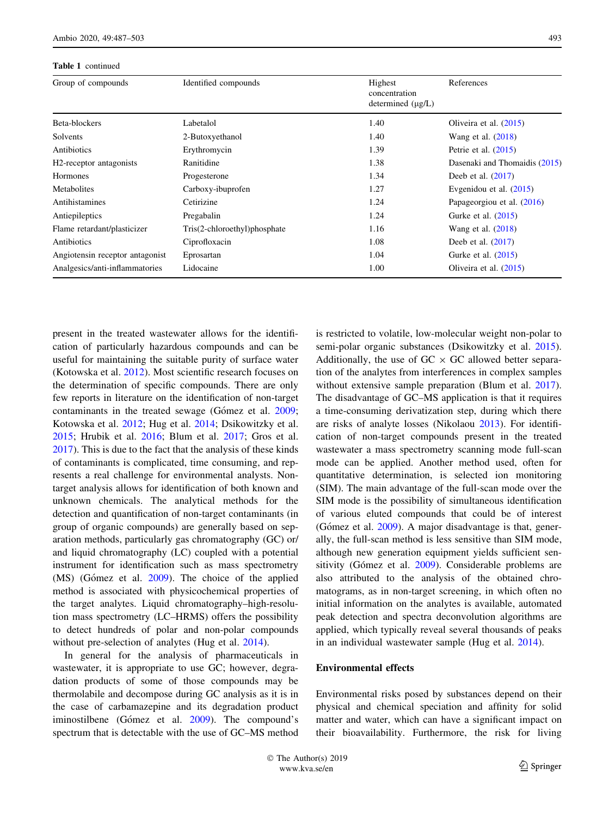| Group of compounds              | Identified compounds         | Highest<br>concentration<br>determined $(\mu g/L)$ | References                    |
|---------------------------------|------------------------------|----------------------------------------------------|-------------------------------|
| Beta-blockers                   | Labetalol                    | 1.40                                               | Oliveira et al. $(2015)$      |
| Solvents                        | 2-Butoxyethanol              | 1.40                                               | Wang et al. $(2018)$          |
| Antibiotics                     | Erythromycin                 | 1.39                                               | Petrie et al. $(2015)$        |
| H2-receptor antagonists         | Ranitidine                   | 1.38                                               | Dasenaki and Thomaidis (2015) |
| Hormones                        | Progesterone                 | 1.34                                               | Deeb et al. $(2017)$          |
| Metabolites                     | Carboxy-ibuprofen            | 1.27                                               | Evgenidou et al. $(2015)$     |
| Antihistamines                  | Cetirizine                   | 1.24                                               | Papageorgiou et al. (2016)    |
| Antiepileptics                  | Pregabalin                   | 1.24                                               | Gurke et al. (2015)           |
| Flame retardant/plasticizer     | Tris(2-chloroethyl)phosphate | 1.16                                               | Wang et al. $(2018)$          |
| Antibiotics                     | Ciprofloxacin                | 1.08                                               | Deeb et al. $(2017)$          |
| Angiotensin receptor antagonist | Eprosartan                   | 1.04                                               | Gurke et al. $(2015)$         |
| Analgesics/anti-inflammatories  | Lidocaine                    | 1.00                                               | Oliveira et al. (2015)        |

present in the treated wastewater allows for the identification of particularly hazardous compounds and can be useful for maintaining the suitable purity of surface water (Kotowska et al. [2012\)](#page-15-0). Most scientific research focuses on the determination of specific compounds. There are only few reports in literature on the identification of non-target contaminants in the treated sewage (Gómez et al. [2009](#page-14-0); Kotowska et al. [2012](#page-15-0); Hug et al. [2014](#page-14-0); Dsikowitzky et al. [2015;](#page-14-0) Hrubik et al. [2016;](#page-14-0) Blum et al. [2017;](#page-13-0) Gros et al. [2017\)](#page-14-0). This is due to the fact that the analysis of these kinds of contaminants is complicated, time consuming, and represents a real challenge for environmental analysts. Nontarget analysis allows for identification of both known and unknown chemicals. The analytical methods for the detection and quantification of non-target contaminants (in group of organic compounds) are generally based on separation methods, particularly gas chromatography (GC) or/ and liquid chromatography (LC) coupled with a potential instrument for identification such as mass spectrometry (MS) (Gómez et al. [2009\)](#page-14-0). The choice of the applied method is associated with physicochemical properties of the target analytes. Liquid chromatography–high-resolution mass spectrometry (LC–HRMS) offers the possibility to detect hundreds of polar and non-polar compounds without pre-selection of analytes (Hug et al. [2014](#page-14-0)).

In general for the analysis of pharmaceuticals in wastewater, it is appropriate to use GC; however, degradation products of some of those compounds may be thermolabile and decompose during GC analysis as it is in the case of carbamazepine and its degradation product iminostilbene (Gómez et al. [2009\)](#page-14-0). The compound's spectrum that is detectable with the use of GC–MS method

is restricted to volatile, low-molecular weight non-polar to semi-polar organic substances (Dsikowitzky et al. [2015](#page-14-0)). Additionally, the use of  $GC \times GC$  allowed better separation of the analytes from interferences in complex samples without extensive sample preparation (Blum et al. [2017](#page-13-0)). The disadvantage of GC–MS application is that it requires a time-consuming derivatization step, during which there are risks of analyte losses (Nikolaou [2013](#page-15-0)). For identification of non-target compounds present in the treated wastewater a mass spectrometry scanning mode full-scan mode can be applied. Another method used, often for quantitative determination, is selected ion monitoring (SIM). The main advantage of the full-scan mode over the SIM mode is the possibility of simultaneous identification of various eluted compounds that could be of interest (Gómez et al.  $2009$ ). A major disadvantage is that, generally, the full-scan method is less sensitive than SIM mode, although new generation equipment yields sufficient sen-sitivity (Gómez et al. [2009](#page-14-0)). Considerable problems are also attributed to the analysis of the obtained chromatograms, as in non-target screening, in which often no initial information on the analytes is available, automated peak detection and spectra deconvolution algorithms are applied, which typically reveal several thousands of peaks in an individual wastewater sample (Hug et al. [2014\)](#page-14-0).

#### Environmental effects

Environmental risks posed by substances depend on their physical and chemical speciation and affinity for solid matter and water, which can have a significant impact on their bioavailability. Furthermore, the risk for living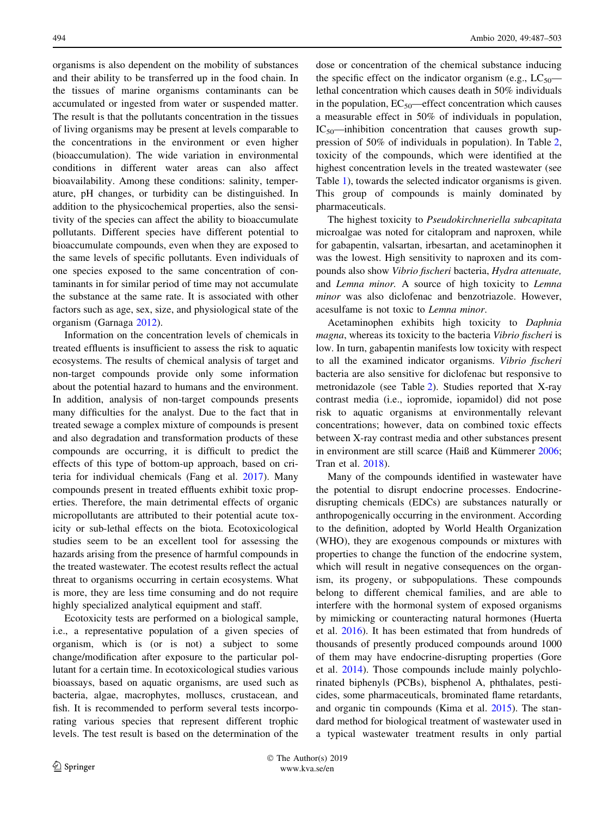organisms is also dependent on the mobility of substances and their ability to be transferred up in the food chain. In the tissues of marine organisms contaminants can be accumulated or ingested from water or suspended matter. The result is that the pollutants concentration in the tissues of living organisms may be present at levels comparable to the concentrations in the environment or even higher (bioaccumulation). The wide variation in environmental conditions in different water areas can also affect bioavailability. Among these conditions: salinity, temperature, pH changes, or turbidity can be distinguished. In addition to the physicochemical properties, also the sensitivity of the species can affect the ability to bioaccumulate pollutants. Different species have different potential to bioaccumulate compounds, even when they are exposed to the same levels of specific pollutants. Even individuals of one species exposed to the same concentration of contaminants in for similar period of time may not accumulate the substance at the same rate. It is associated with other factors such as age, sex, size, and physiological state of the organism (Garnaga [2012](#page-14-0)).

Information on the concentration levels of chemicals in treated effluents is insufficient to assess the risk to aquatic ecosystems. The results of chemical analysis of target and non-target compounds provide only some information about the potential hazard to humans and the environment. In addition, analysis of non-target compounds presents many difficulties for the analyst. Due to the fact that in treated sewage a complex mixture of compounds is present and also degradation and transformation products of these compounds are occurring, it is difficult to predict the effects of this type of bottom-up approach, based on criteria for individual chemicals (Fang et al. [2017](#page-14-0)). Many compounds present in treated effluents exhibit toxic properties. Therefore, the main detrimental effects of organic micropollutants are attributed to their potential acute toxicity or sub-lethal effects on the biota. Ecotoxicological studies seem to be an excellent tool for assessing the hazards arising from the presence of harmful compounds in the treated wastewater. The ecotest results reflect the actual threat to organisms occurring in certain ecosystems. What is more, they are less time consuming and do not require highly specialized analytical equipment and staff.

Ecotoxicity tests are performed on a biological sample, i.e., a representative population of a given species of organism, which is (or is not) a subject to some change/modification after exposure to the particular pollutant for a certain time. In ecotoxicological studies various bioassays, based on aquatic organisms, are used such as bacteria, algae, macrophytes, molluscs, crustacean, and fish. It is recommended to perform several tests incorporating various species that represent different trophic levels. The test result is based on the determination of the dose or concentration of the chemical substance inducing the specific effect on the indicator organism (e.g.,  $LC_{50}$  lethal concentration which causes death in 50% individuals in the population,  $EC_{50}$ —effect concentration which causes a measurable effect in 50% of individuals in population,  $IC_{50}$ —inhibition concentration that causes growth suppression of 50% of individuals in population). In Table [2,](#page-8-0) toxicity of the compounds, which were identified at the highest concentration levels in the treated wastewater (see Table [1](#page-4-0)), towards the selected indicator organisms is given. This group of compounds is mainly dominated by pharmaceuticals.

The highest toxicity to Pseudokirchneriella subcapitata microalgae was noted for citalopram and naproxen, while for gabapentin, valsartan, irbesartan, and acetaminophen it was the lowest. High sensitivity to naproxen and its compounds also show Vibrio fischeri bacteria, Hydra attenuate, and Lemna minor. A source of high toxicity to Lemna minor was also diclofenac and benzotriazole. However, acesulfame is not toxic to Lemna minor.

Acetaminophen exhibits high toxicity to Daphnia magna, whereas its toxicity to the bacteria Vibrio fischeri is low. In turn, gabapentin manifests low toxicity with respect to all the examined indicator organisms. Vibrio fischeri bacteria are also sensitive for diclofenac but responsive to metronidazole (see Table [2](#page-8-0)). Studies reported that X-ray contrast media (i.e., iopromide, iopamidol) did not pose risk to aquatic organisms at environmentally relevant concentrations; however, data on combined toxic effects between X-ray contrast media and other substances present in environment are still scarce (Haiß and Kümmerer [2006](#page-14-0); Tran et al. [2018](#page-16-0)).

Many of the compounds identified in wastewater have the potential to disrupt endocrine processes. Endocrinedisrupting chemicals (EDCs) are substances naturally or anthropogenically occurring in the environment. According to the definition, adopted by World Health Organization (WHO), they are exogenous compounds or mixtures with properties to change the function of the endocrine system, which will result in negative consequences on the organism, its progeny, or subpopulations. These compounds belong to different chemical families, and are able to interfere with the hormonal system of exposed organisms by mimicking or counteracting natural hormones (Huerta et al. [2016\)](#page-14-0). It has been estimated that from hundreds of thousands of presently produced compounds around 1000 of them may have endocrine-disrupting properties (Gore et al. [2014](#page-14-0)). Those compounds include mainly polychlorinated biphenyls (PCBs), bisphenol A, phthalates, pesticides, some pharmaceuticals, brominated flame retardants, and organic tin compounds (Kima et al. [2015\)](#page-15-0). The standard method for biological treatment of wastewater used in a typical wastewater treatment results in only partial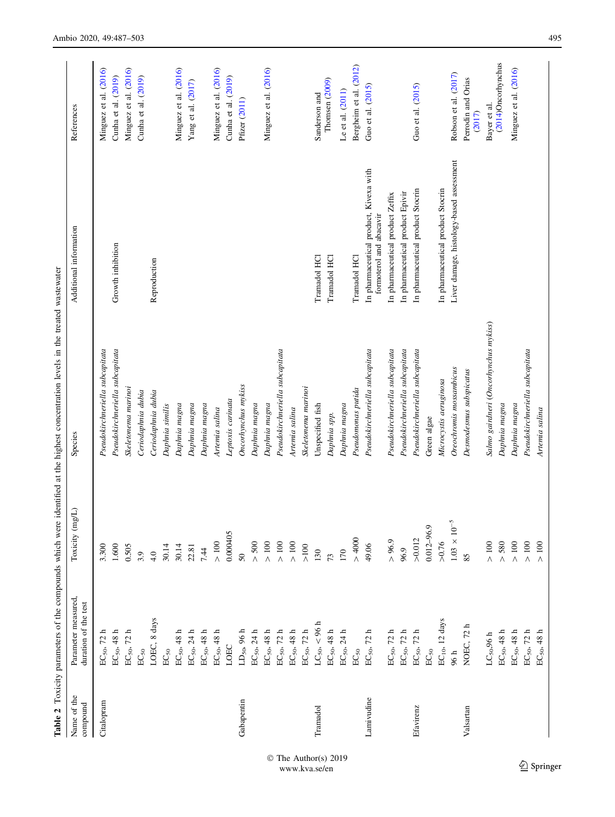<span id="page-8-0"></span>

|                         |                                            |                                | Table 2 Toxicity parameters of the compounds which were identified at the highest concentration levels in the treated wastewater |                                                                   |                              |
|-------------------------|--------------------------------------------|--------------------------------|----------------------------------------------------------------------------------------------------------------------------------|-------------------------------------------------------------------|------------------------------|
| Name of the<br>compound | Parameter measured<br>duration of the test | GV <sup>ā</sup><br>Toxicity (n | Species                                                                                                                          | Additional information                                            | References                   |
| Citalopram              | EC <sub>50</sub> , 72 h                    | 3.300                          | Pseudokirchneriella subcapitata                                                                                                  |                                                                   | Minguez et al. (2016)        |
|                         | EC <sub>50</sub> , 48 h                    | $1.600\,$                      | Pseudokirchneriella subcapitata                                                                                                  | Growth inhibition                                                 | Cunha et al. (2019)          |
|                         | EC <sub>50</sub> , 72 h                    | 0.505                          | Skeletonema marinoi                                                                                                              |                                                                   | Minguez et al. (2016)        |
|                         | $EC_{50}$                                  | 3.9                            | Ceriodaphnia dubia                                                                                                               |                                                                   | Cunha et al. (2019)          |
|                         | 8 days<br>LOEC,                            | 4.0                            | Ceriodaphnia dubia                                                                                                               | Reproduction                                                      |                              |
|                         | $EC_{50}$                                  | 30.14                          | Daphnia similis                                                                                                                  |                                                                   |                              |
|                         | EC <sub>50</sub> , 48 h                    | 30.14                          | Daphnia magna                                                                                                                    |                                                                   | Minguez et al. (2016)        |
|                         | $EC_{50}$ , 24 h                           | 22.81                          | Daphnia magna                                                                                                                    |                                                                   | Yang et al. (2017)           |
|                         | EC <sub>50</sub> , 48 h                    | 7.44                           | Daphnia magna                                                                                                                    |                                                                   |                              |
|                         | EC <sub>50</sub> , 48 h                    | $>100$                         | Artemia salina                                                                                                                   |                                                                   | Minguez et al. (2016)        |
|                         | LOEC                                       | 0.000405                       | Leptoxis carinata                                                                                                                |                                                                   | Cunha et al. (2019)          |
| Gabapentin              | $\text{LD}_{50}$ , 96 h                    | 50                             | Oncorhynchus mykiss                                                                                                              |                                                                   | Pfizer (2011)                |
|                         | $EC_{50}$ , 24 h                           | $>500$                         | Daphnia magna                                                                                                                    |                                                                   |                              |
|                         | EC <sub>50</sub> , 48 h                    | $>100$                         | Daphnia magna                                                                                                                    |                                                                   | Minguez et al. (2016)        |
|                         | EC <sub>50</sub> , 72 h                    | $>100$                         | Pseudokirchneriella subcapitata                                                                                                  |                                                                   |                              |
|                         | EC <sub>50</sub> , 48 h                    | $>100$                         | Artenia salina                                                                                                                   |                                                                   |                              |
|                         | EC <sub>50</sub> , 72 h                    | $>100$                         | Skeletonema marinoi                                                                                                              |                                                                   |                              |
| Tramadol                | $LC_{50}$<br>$<96$ h                       | 130                            | Unspecified fish                                                                                                                 | Tramadol HCI                                                      | Sanderson and                |
|                         | EC <sub>50</sub> , 48 h                    | 73                             | Daphnia spp.                                                                                                                     | Tramadol HCl                                                      | Thomsen (2009)               |
|                         | $EC_{50}$ , 24 h                           | 170                            | Daphnia magna                                                                                                                    |                                                                   | Le et al. (2011)             |
|                         | $\mathrm{EC}_{50}$                         | $>4000$                        | Pseudomonas putida                                                                                                               | Tramadol HCI                                                      | Bergheim et al. (2012)       |
| Lamivudine              | EC <sub>50</sub> , 72 h                    | 49.06                          | Pseudokirchneriella subcapitata                                                                                                  | In pharmaceutical product, Kivexa with<br>formoterol and abacavir | Guo et al. (2015)            |
|                         | EC <sub>50</sub> , 72 h                    | $>96.9$                        | Pseudokirchneriella subcapitata                                                                                                  | In pharmaceutical product Zeffix                                  |                              |
|                         | EC <sub>50</sub> , 72 h                    | 96.9                           | Pseudokirchneriella subcapitata                                                                                                  | In pharmaceutical product Epivir                                  |                              |
| Efavirenz               | EC <sub>50</sub> , 72 h                    | >0.012                         | Pseudokirchneriella subcapitata                                                                                                  | In pharmaceutical product Stocrin                                 | Guo et al. (2015)            |
|                         | $\mathrm{EC}_{50}$                         | $0.012 - 96.9$                 | Green algae                                                                                                                      |                                                                   |                              |
|                         | EC <sub>10</sub> , 12 days                 | $-0.76$                        | Microcystis aeruginosa                                                                                                           | In pharmaceutical product Stocrin                                 |                              |
|                         | 96 h                                       | $1.03 \times 10^{-7}$          | Oreochromis mossambicus                                                                                                          | Liver damage, histology-based assessment                          | Robson et al. (2017)         |
| Valsartan               | 드<br>NOEC, 72                              | 85                             | Desmodesmus subspicatus                                                                                                          |                                                                   | Perrodin and Orias<br>(2017) |
|                         | $\text{LC}_{50},\!96$ h                    | $>100$                         | Salmo gairdneri (Oncorhynchus mykiss)                                                                                            |                                                                   | Bayer et al.                 |
|                         | EC <sub>50</sub> , 48 h                    | $>580$                         | Daphnia magna                                                                                                                    |                                                                   | (2014)Oncorhynchus           |
|                         | EC <sub>50</sub> , 48 h                    | $>100$                         | Daphnia magna                                                                                                                    |                                                                   | Minguez et al. (2016)        |
|                         | EC <sub>50</sub> , 72 h                    | $>100$                         | Pseudokirchneriella subcapitata                                                                                                  |                                                                   |                              |
|                         | EC <sub>50</sub> , 48 h                    | $>100$                         | Artemia salina                                                                                                                   |                                                                   |                              |

<sup>©</sup> The Author(s) 2019 The Author(s) 2019<br>www.kva.se/en 1233 and 223 Springer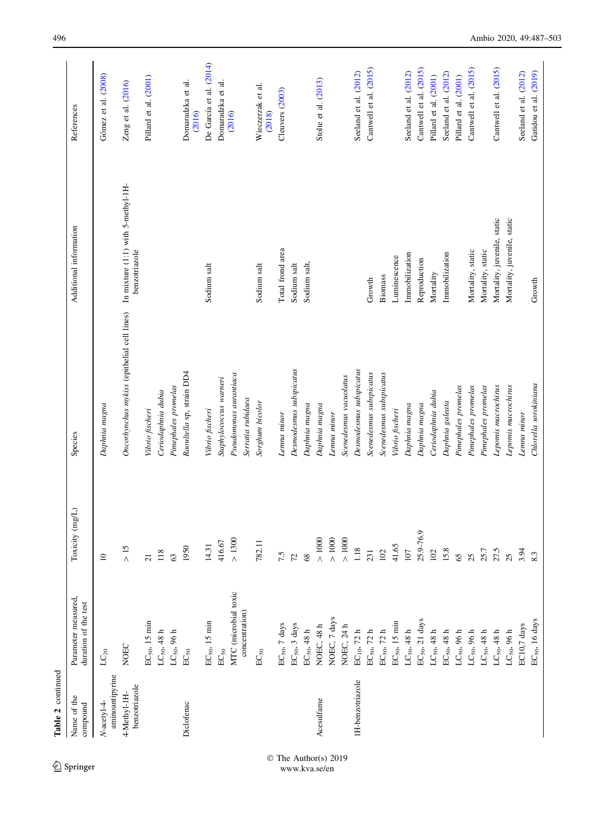| Table 2 continued                |                                             |                 |                                             |                                                     |                             |
|----------------------------------|---------------------------------------------|-----------------|---------------------------------------------|-----------------------------------------------------|-----------------------------|
| Name of the<br>compound          | Parameter measured,<br>duration of the test | Toxicity (mg/L) | Species                                     | Additional information                              | References                  |
| aminoantipyrine<br>$N$ -acetyl-4 | LC <sub>20</sub>                            | $\overline{10}$ | Daphnia magna                               |                                                     | Gómez et al. (2008)         |
| benzotriazole<br>4-Methyl-1H-    | <b>NOEC</b>                                 | >15             | Oncorhynchus mykiss (epithelial cell lines) | In mixture (1:1) with 5-methyl-1H-<br>benzotriazole | Zeng et al. (2016)          |
|                                  | EC <sub>50</sub> , 15 min                   | $\overline{21}$ | Vibrio fischeri                             |                                                     | Pillard et al. (2001)       |
|                                  | $LC_{50}$ , 48 h                            | 118             | Ceriodaphnia dubia                          |                                                     |                             |
|                                  | LC <sub>50</sub> , 96 h                     | 63              | Pimephales promelas                         |                                                     |                             |
| Diclofenac                       | $EC_{50}$                                   | 1950            | Raoultella sp, strain DD4                   |                                                     | Domaradzka et al.<br>(2016) |
|                                  | $EC50$ , 15 min                             | 14.31           | Vibrio fischeri                             | Sodium salt                                         | De García et al. (2014)     |
|                                  | $EC_{50}$                                   | 416.67          | Staphylococcus warneri                      |                                                     | Domaradzka et al.           |
|                                  | MTC (microbial toxic                        | $>1300$         | Pseudomonas aurantiaca                      |                                                     | (2016)                      |
|                                  | concentration)                              |                 | Serratia rubidaea                           |                                                     |                             |
|                                  | $\mathrm{EC}_{50}$                          | 782.11          | Sorghum bicolor                             | Sodium salt                                         | Wieczerzak et al.<br>(2018) |
|                                  | EC <sub>50</sub> , 7 days                   | 7.5             | Lenna minor                                 | Total frond area                                    | Cleuvers (2003)             |
|                                  | EC <sub>50</sub> , 3 days                   | 72              | Desmodesmus subspicatus                     | Sodium salt                                         |                             |
|                                  | EC <sub>50</sub> , 48 h                     | 68              | Daphnia magna                               | Sodium salt,                                        |                             |
| Acesulfame                       | NOEC, 48 h                                  | > 1000          | Daphnia magna                               |                                                     | Stolte et al. (2013)        |
|                                  | NOEC, 7 days                                | $>1000$         | Lenna minor                                 |                                                     |                             |
|                                  | NOEC, 24 h                                  | $>1000$         | Scenedesmus vacuolatus                      |                                                     |                             |
| 1H-benzotriazole                 | EC <sub>10</sub> , 72 h                     | 1.18            | Desmodesmus subspicatus                     |                                                     | Seeland et al. (2012)       |
|                                  | EC <sub>50</sub> , 72 h                     | 231             | Scenedesmus subspicatus                     | Growth                                              | Cantwell et al. (2015)      |
|                                  | EC <sub>50</sub> , $72 h$                   | 102             | Scenedesmus subspicatus                     | <b>Biomass</b>                                      |                             |
|                                  | EC <sub>50</sub> , 15 min                   | 41.65           | Vibrio fischeri                             | Luminescence                                        |                             |
|                                  | $LC_{50}$ , 48 h                            | 107             | Daphnia magna                               | Immobilization                                      | Seeland et al. (2012)       |
|                                  | EC <sub>50</sub> , 21 days                  | 25.9-76.9       | Daphnia magna                               | Reproduction                                        | Cantwell et al. (2015)      |
|                                  | $LC_{50}$ , 48 h                            | 102             | Ceriodaphnia dubia                          | Mortality                                           | Pillard et al. (2001)       |
|                                  | EC <sub>50</sub> , 48 h                     | 15.8            | Daphnia galeata                             | Immobilization                                      | Seeland et al. (2012)       |
|                                  | LC <sub>50</sub> , 96 h                     | 65              | Pimephales promelas                         |                                                     | Pillard et al. (2001)       |
|                                  | $LC_{50}$ , 96 h                            | 25              | Pimephales promelas                         | Mortality, static                                   | Cantwell et al. (2015)      |
|                                  | $LC_{50}$ , 48 h                            | 25.7            | Pimephales promelas                         | Mortality, static                                   |                             |
|                                  | $LC_{50}$ , 48 h                            | 27.5            | Lepomis macrochirus                         | Mortality, juvenile, static                         | Cantwell et al. (2015)      |
|                                  | $LC_{50}$ , 96 h                            | 25              | Leponis macrochirus                         | Mortality, juvenile, static                         |                             |
|                                  | EC10,7 days                                 | 3.94            | Lenna minor                                 |                                                     | Seeland et al. (2012)       |
|                                  | EC <sub>50</sub> , 16 days                  | 8.3             | Chlorella sorokiniana                       | Growth                                              | Gatidou et al. (2019)       |

496 Ambio 2020, 49:487–503

 $\underline{\textcircled{\tiny 2}}$  Springer

© The Author(s) 2019 www.kva.se/en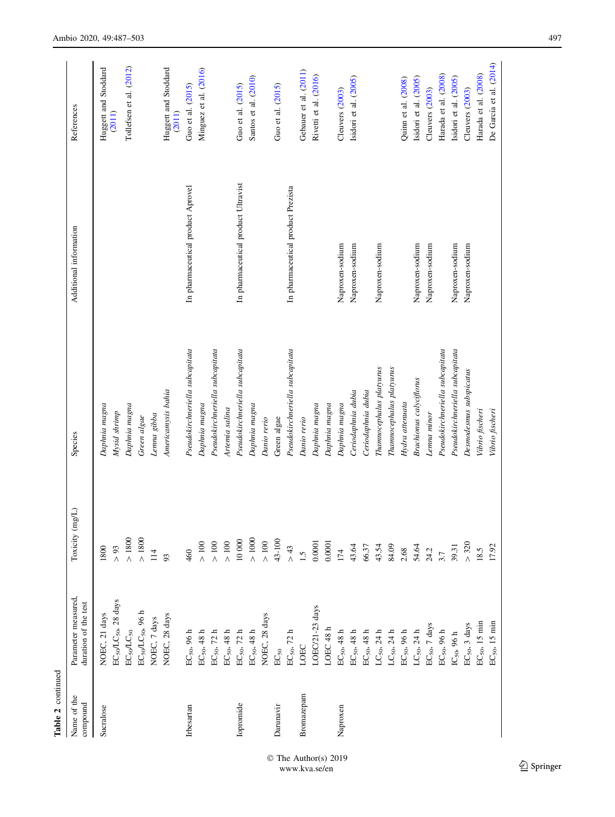| Name of the<br>compound | Parameter measured,<br>duration of the test                                  | Toxicity (mg/L)                                                                            | Species                         | Additional information              | References                     |
|-------------------------|------------------------------------------------------------------------------|--------------------------------------------------------------------------------------------|---------------------------------|-------------------------------------|--------------------------------|
| Sucralose               | EC <sub>50</sub> /LC <sub>50</sub> , 28 days<br>NOEC, 21 days                | 1800                                                                                       | Daphnia magna<br>Mysid shrimp   |                                     | Huggett and Stoddard<br>(2011) |
|                         | $\mathrm{EC}_{50}/\mathrm{LC}_{50}$                                          | $>93$<br>$>1800$<br>$>1800$<br>$>1800$<br>$>114$                                           | Daphnia magna                   |                                     | Tollefsen et al. (2012)        |
|                         | $\text{EC}_{50}/\text{LC}_{50}$ , 96 h                                       |                                                                                            | Green algae                     |                                     |                                |
|                         | NOEC, 7 days                                                                 |                                                                                            | Lemna gibba                     |                                     |                                |
|                         | NOEC, 28 days                                                                | 93                                                                                         | Americanysis bahia              |                                     | Huggett and Stoddard<br>(2011) |
| Irbesartan              | EC <sub>50</sub> , 96 h                                                      | 460                                                                                        | Pseudokirchneriella subcapitata | In pharmaceutical product Aprovel   | Guo et al. (2015)              |
|                         | EC <sub>50</sub> , 48 h                                                      | $>100$                                                                                     | Daphnia magna                   |                                     | Minguez et al. (2016)          |
|                         | $EC_{50}$ , 72 h<br>EC <sub>50</sub> , 48 h                                  | $>100$                                                                                     | Pseudokirchneriella subcapitata |                                     |                                |
|                         |                                                                              | $>100$                                                                                     | Artemia salina                  |                                     |                                |
| Iopromide               | EC <sub>50</sub> , 72 h                                                      | 10 000                                                                                     | Pseudokirchneriella subcapitata | In pharmaceutical product Ultravist | Guo et al. (2015)              |
|                         | $\mathrm{EC}_{50}$ 48 h                                                      |                                                                                            | Daphnia magna                   |                                     | Santos et al. (2010)           |
|                         | NOEC, 28 days                                                                | $> 1000$<br>$> 100$                                                                        | Danio rerio                     |                                     |                                |
| Darunavir               | $\mathrm{EC}_{50}$                                                           | 43-100                                                                                     | Green algae                     |                                     | Guo et al. (2015)              |
|                         | EC <sub>50</sub> , 72 h                                                      | $>43$                                                                                      | Pseudokirchneriella subcapitata | In pharmaceutical product Prezista  |                                |
| Bromazepam              | LOEC                                                                         | $1.5\text{ }$                                                                              | Danio rerio                     |                                     | Gebauer et al. (2011)          |
|                         | LOEC/21-23 days                                                              | 0.0001                                                                                     | Daphnia magna                   |                                     | Rivetti et al. (2016)          |
|                         | LOEC 48 h                                                                    | 0.0001                                                                                     | Daphnia magna                   |                                     |                                |
| Naproxen                | EC <sub>50</sub> , 48 h                                                      |                                                                                            | Daphnia magna                   | Naproxen-sodium                     | Cleuvers (2003)                |
|                         |                                                                              |                                                                                            | Ceriodaphnia dubia              | Naproxen-sodium                     | Isidori et al. (2005)          |
|                         |                                                                              |                                                                                            | Ceriodaphnia dubia              |                                     |                                |
|                         | $EC_{50}$ , 48 h<br>$EC_{50}$ , 48 h<br>$LC_{50}$ , 24 h<br>$LC_{50}$ , 24 h | $174$<br>$43.64$<br>$43.54$<br>$43.54$<br>$43.68$<br>$24.64$<br>$24.2$<br>$24.2$<br>$25.7$ | Thamnocephalus platyurus        | Naproxen-sodium                     |                                |
|                         |                                                                              |                                                                                            | Thannocephalus platyurus        |                                     |                                |
|                         | $\mathrm{EC}_{50}$ 96 h                                                      |                                                                                            | Hydra attenuata                 |                                     | Quinn et al. (2008)            |
|                         | $\text{LC}_{50}$ 24 h                                                        |                                                                                            | <b>Brachionus</b> calyciflorus  | Naproxen-sodium                     | Isidori et al. (2005)          |
|                         | EC <sub>50</sub> , 7 days                                                    |                                                                                            | Lenna minor                     | Naproxen-sodium                     | Cleuvers (2003)                |
|                         | EC <sub>50</sub> , 96 h                                                      |                                                                                            | Pseudokirchneriella subcapitata |                                     | Harada et al. (2008)           |
|                         | $\rm IC_{50},$ 96 h                                                          | 39.31                                                                                      | Pseudokirchneriella subcapitata | Naproxen-sodium                     | Isidori et al. (2005)          |
|                         | EC <sub>50</sub> , 3 days                                                    | $>320$                                                                                     | Desmodesmus subspicatus         | Naproxen-sodium                     | Cleuvers (2003)                |
|                         | EC <sub>50</sub> , 15 min                                                    | 18.5                                                                                       | Vibrio fischeri                 |                                     | Harada et al. (2008)           |
|                         | $EC50$ , 15 min                                                              | 17.92                                                                                      | Vibrio fischeri                 |                                     | De García et al. (2014)        |

Table 2 continued

Table 2 continued

© The Author(s) 2019 www.kva.se/en  $\triangle$  Springer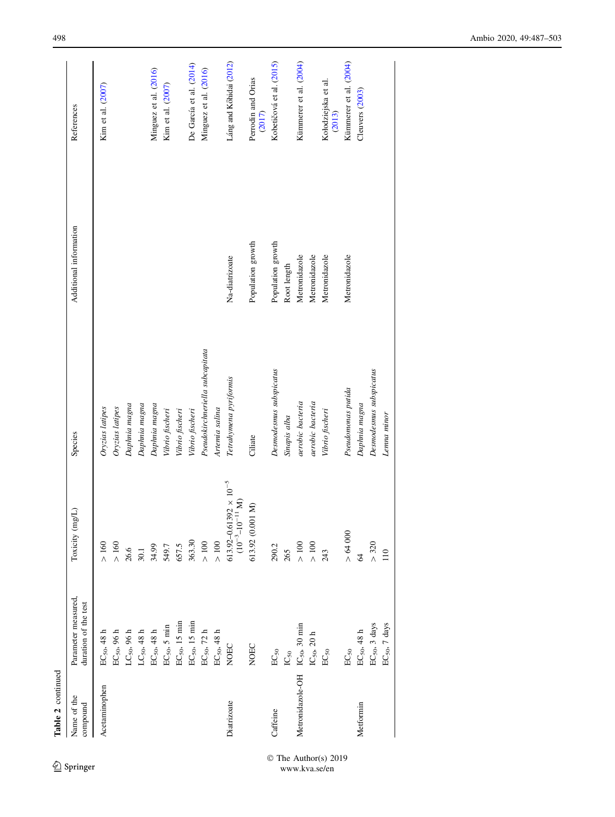| Table 2 continued                          |                                             |                                                                              |                                 |                        |                               |
|--------------------------------------------|---------------------------------------------|------------------------------------------------------------------------------|---------------------------------|------------------------|-------------------------------|
| Name of the<br>compound                    | Parameter measured,<br>duration of the test | Toxicity (mg/L)                                                              | Species                         | Additional information | References                    |
| Acetaminophen                              | EC <sub>50</sub> , 48 h                     | > 160                                                                        | Oryzias latipes                 |                        | Kim et al. (2007)             |
|                                            | EC <sub>50</sub> , 96 h                     | $>160$                                                                       | Oryzias latipes                 |                        |                               |
|                                            | $LC_{50}$ , 96 h                            | 26.6                                                                         | Daphnia magna                   |                        |                               |
|                                            | $LC_{50}$ , 48 h                            | 30.1                                                                         | Daphnia magna                   |                        |                               |
|                                            | EC <sub>50</sub> , 48 h                     | 34.99                                                                        | Daphnia magna                   |                        | Minguez et al. (2016)         |
|                                            | $EC50$ , 5 min                              | 549.7                                                                        | Vibrio fischeri                 |                        | Kim et al. (2007)             |
|                                            | $EC50$ , 15 min                             | 657.5                                                                        | Vibrio fischeri                 |                        |                               |
|                                            | $EC50$ , 15 min                             | 363.30                                                                       | Vibrio fischeri                 |                        | De García et al. (2014)       |
|                                            | EC <sub>50</sub> , 72 h                     | $>100$                                                                       | Pseudokirchneriella subcapitata |                        | Minguez et al. (2016)         |
|                                            | EC <sub>50</sub> , 48 h                     | $>100$                                                                       | Artemia salina                  |                        |                               |
| Diatrizoate                                | NOEC                                        | $613.92 - 0.61392 \times 10^{-5}$<br>(10 <sup>-3</sup> -10 <sup>-11</sup> M) | Tetrahymena pyriformis          | Na-diatrizoate         | Láng and Kőhidai (2012)       |
|                                            | NOEC                                        | $\overline{1}$ M<br>613.92 (0.00                                             | Ciliate                         | Population growth      | Perrodin and Orias $(2017)$   |
| Caffeine                                   | $EC_{50}$                                   | 290.2                                                                        | Desmodesmus subspicatus         | Population growth      | Kobetičová et al. (2015)      |
|                                            | $IC_{50}$                                   | 265                                                                          | Sinapis alba                    | Root length            |                               |
| Metronidazole-OH IC <sub>50</sub> , 30 min |                                             |                                                                              | aerobic bacteria                | Metronidazole          | Kümmerer et al. (2004)        |
|                                            | $\rm IC_{50},$ 20 h                         | $\frac{100}{\times}$ 100                                                     | aerobic bacteria                | Metronidazole          |                               |
|                                            | $EC_{50}$                                   |                                                                              | Vibrio fischeri                 | Metronidazole          | Kołodziejska et al.<br>(2013) |
|                                            | $EC_{50}$                                   | > 64000                                                                      | Pseudomonas putida              | Metronidazole          | Kümmerer et al. (2004)        |
| Metformin                                  | EC <sub>50</sub> , 48 h                     | 34                                                                           | Daphnia magna                   |                        | Cleuvers (2003)               |
|                                            | EC <sub>50</sub> , 3 days                   | $>320$                                                                       | Desmodesmus subspicatus         |                        |                               |
|                                            | EC <sub>50</sub> , 7 days                   | $\frac{10}{10}$                                                              | Lenna minor                     |                        |                               |

 $\underline{\textcircled{\tiny 2}}$  Springer

© The Author(s) 2019 www.kva.se/en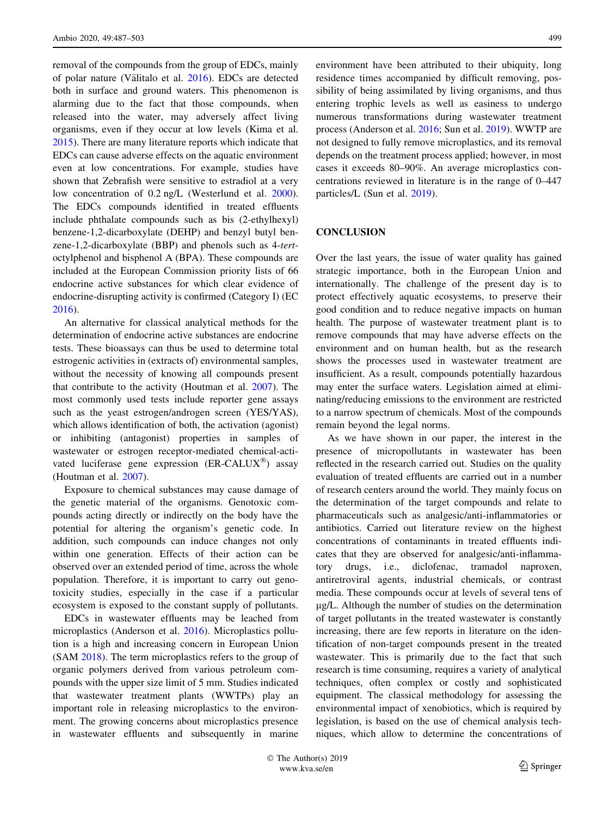removal of the compounds from the group of EDCs, mainly of polar nature (Välitalo et al. [2016\)](#page-16-0). EDCs are detected both in surface and ground waters. This phenomenon is alarming due to the fact that those compounds, when released into the water, may adversely affect living organisms, even if they occur at low levels (Kima et al. [2015\)](#page-15-0). There are many literature reports which indicate that EDCs can cause adverse effects on the aquatic environment even at low concentrations. For example, studies have shown that Zebrafish were sensitive to estradiol at a very low concentration of 0.2 ng/L (Westerlund et al. [2000](#page-16-0)). The EDCs compounds identified in treated effluents include phthalate compounds such as bis (2-ethylhexyl) benzene-1,2-dicarboxylate (DEHP) and benzyl butyl benzene-1,2-dicarboxylate (BBP) and phenols such as 4-tertoctylphenol and bisphenol A (BPA). These compounds are included at the European Commission priority lists of 66 endocrine active substances for which clear evidence of endocrine-disrupting activity is confirmed (Category I) (EC [2016\)](#page-14-0).

An alternative for classical analytical methods for the determination of endocrine active substances are endocrine tests. These bioassays can thus be used to determine total estrogenic activities in (extracts of) environmental samples, without the necessity of knowing all compounds present that contribute to the activity (Houtman et al. [2007](#page-14-0)). The most commonly used tests include reporter gene assays such as the yeast estrogen/androgen screen (YES/YAS), which allows identification of both, the activation (agonist) or inhibiting (antagonist) properties in samples of wastewater or estrogen receptor-mediated chemical-activated luciferase gene expression  $(ER-CALUX^@)$  assay (Houtman et al. [2007\)](#page-14-0).

Exposure to chemical substances may cause damage of the genetic material of the organisms. Genotoxic compounds acting directly or indirectly on the body have the potential for altering the organism's genetic code. In addition, such compounds can induce changes not only within one generation. Effects of their action can be observed over an extended period of time, across the whole population. Therefore, it is important to carry out genotoxicity studies, especially in the case if a particular ecosystem is exposed to the constant supply of pollutants.

EDCs in wastewater effluents may be leached from microplastics (Anderson et al. [2016\)](#page-13-0). Microplastics pollution is a high and increasing concern in European Union (SAM [2018\)](#page-15-0). The term microplastics refers to the group of organic polymers derived from various petroleum compounds with the upper size limit of 5 mm. Studies indicated that wastewater treatment plants (WWTPs) play an important role in releasing microplastics to the environment. The growing concerns about microplastics presence in wastewater effluents and subsequently in marine environment have been attributed to their ubiquity, long residence times accompanied by difficult removing, possibility of being assimilated by living organisms, and thus entering trophic levels as well as easiness to undergo numerous transformations during wastewater treatment process (Anderson et al. [2016](#page-13-0); Sun et al. [2019\)](#page-16-0). WWTP are not designed to fully remove microplastics, and its removal depends on the treatment process applied; however, in most cases it exceeds 80–90%. An average microplastics concentrations reviewed in literature is in the range of 0–447 particles/L (Sun et al. [2019](#page-16-0)).

## **CONCLUSION**

Over the last years, the issue of water quality has gained strategic importance, both in the European Union and internationally. The challenge of the present day is to protect effectively aquatic ecosystems, to preserve their good condition and to reduce negative impacts on human health. The purpose of wastewater treatment plant is to remove compounds that may have adverse effects on the environment and on human health, but as the research shows the processes used in wastewater treatment are insufficient. As a result, compounds potentially hazardous may enter the surface waters. Legislation aimed at eliminating/reducing emissions to the environment are restricted to a narrow spectrum of chemicals. Most of the compounds remain beyond the legal norms.

As we have shown in our paper, the interest in the presence of micropollutants in wastewater has been reflected in the research carried out. Studies on the quality evaluation of treated effluents are carried out in a number of research centers around the world. They mainly focus on the determination of the target compounds and relate to pharmaceuticals such as analgesic/anti-inflammatories or antibiotics. Carried out literature review on the highest concentrations of contaminants in treated effluents indicates that they are observed for analgesic/anti-inflammatory drugs, i.e., diclofenac, tramadol naproxen, antiretroviral agents, industrial chemicals, or contrast media. These compounds occur at levels of several tens of lg/L. Although the number of studies on the determination of target pollutants in the treated wastewater is constantly increasing, there are few reports in literature on the identification of non-target compounds present in the treated wastewater. This is primarily due to the fact that such research is time consuming, requires a variety of analytical techniques, often complex or costly and sophisticated equipment. The classical methodology for assessing the environmental impact of xenobiotics, which is required by legislation, is based on the use of chemical analysis techniques, which allow to determine the concentrations of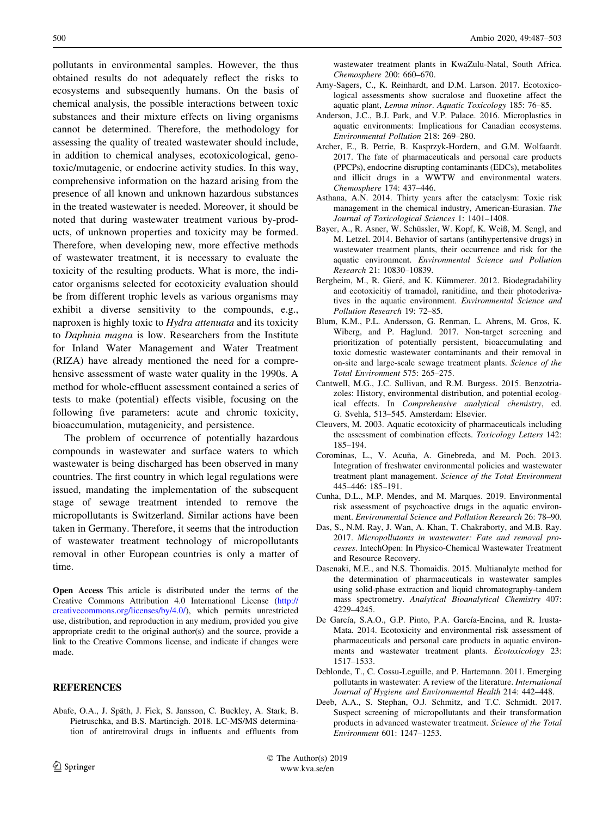<span id="page-13-0"></span>pollutants in environmental samples. However, the thus obtained results do not adequately reflect the risks to ecosystems and subsequently humans. On the basis of chemical analysis, the possible interactions between toxic substances and their mixture effects on living organisms cannot be determined. Therefore, the methodology for assessing the quality of treated wastewater should include, in addition to chemical analyses, ecotoxicological, genotoxic/mutagenic, or endocrine activity studies. In this way, comprehensive information on the hazard arising from the presence of all known and unknown hazardous substances in the treated wastewater is needed. Moreover, it should be noted that during wastewater treatment various by-products, of unknown properties and toxicity may be formed. Therefore, when developing new, more effective methods of wastewater treatment, it is necessary to evaluate the toxicity of the resulting products. What is more, the indicator organisms selected for ecotoxicity evaluation should be from different trophic levels as various organisms may exhibit a diverse sensitivity to the compounds, e.g., naproxen is highly toxic to Hydra attenuata and its toxicity to Daphnia magna is low. Researchers from the Institute for Inland Water Management and Water Treatment (RIZA) have already mentioned the need for a comprehensive assessment of waste water quality in the 1990s. A method for whole-effluent assessment contained a series of tests to make (potential) effects visible, focusing on the following five parameters: acute and chronic toxicity, bioaccumulation, mutagenicity, and persistence.

The problem of occurrence of potentially hazardous compounds in wastewater and surface waters to which wastewater is being discharged has been observed in many countries. The first country in which legal regulations were issued, mandating the implementation of the subsequent stage of sewage treatment intended to remove the micropollutants is Switzerland. Similar actions have been taken in Germany. Therefore, it seems that the introduction of wastewater treatment technology of micropollutants removal in other European countries is only a matter of time.

Open Access This article is distributed under the terms of the Creative Commons Attribution 4.0 International License ([http://](http://creativecommons.org/licenses/by/4.0/) [creativecommons.org/licenses/by/4.0/\)](http://creativecommons.org/licenses/by/4.0/), which permits unrestricted use, distribution, and reproduction in any medium, provided you give appropriate credit to the original author(s) and the source, provide a link to the Creative Commons license, and indicate if changes were made.

# REFERENCES

Abafe, O.A., J. Späth, J. Fick, S. Jansson, C. Buckley, A. Stark, B. Pietruschka, and B.S. Martincigh. 2018. LC-MS/MS determination of antiretroviral drugs in influents and effluents from wastewater treatment plants in KwaZulu-Natal, South Africa. Chemosphere 200: 660–670.

- Amy-Sagers, C., K. Reinhardt, and D.M. Larson. 2017. Ecotoxicological assessments show sucralose and fluoxetine affect the aquatic plant, Lemna minor. Aquatic Toxicology 185: 76–85.
- Anderson, J.C., B.J. Park, and V.P. Palace. 2016. Microplastics in aquatic environments: Implications for Canadian ecosystems. Environmental Pollution 218: 269–280.
- Archer, E., B. Petrie, B. Kasprzyk-Hordern, and G.M. Wolfaardt. 2017. The fate of pharmaceuticals and personal care products (PPCPs), endocrine disrupting contaminants (EDCs), metabolites and illicit drugs in a WWTW and environmental waters. Chemosphere 174: 437–446.
- Asthana, A.N. 2014. Thirty years after the cataclysm: Toxic risk management in the chemical industry, American-Eurasian. The Journal of Toxicological Sciences 1: 1401–1408.
- Bayer, A., R. Asner, W. Schüssler, W. Kopf, K. Weiß, M. Sengl, and M. Letzel. 2014. Behavior of sartans (antihypertensive drugs) in wastewater treatment plants, their occurrence and risk for the aquatic environment. Environmental Science and Pollution Research 21: 10830–10839.
- Bergheim, M., R. Gieré, and K. Kümmerer. 2012. Biodegradability and ecotoxicitiy of tramadol, ranitidine, and their photoderivatives in the aquatic environment. Environmental Science and Pollution Research 19: 72–85.
- Blum, K.M., P.L. Andersson, G. Renman, L. Ahrens, M. Gros, K. Wiberg, and P. Haglund. 2017. Non-target screening and prioritization of potentially persistent, bioaccumulating and toxic domestic wastewater contaminants and their removal in on-site and large-scale sewage treatment plants. Science of the Total Environment 575: 265–275.
- Cantwell, M.G., J.C. Sullivan, and R.M. Burgess. 2015. Benzotriazoles: History, environmental distribution, and potential ecological effects. In Comprehensive analytical chemistry, ed. G. Svehla, 513–545. Amsterdam: Elsevier.
- Cleuvers, M. 2003. Aquatic ecotoxicity of pharmaceuticals including the assessment of combination effects. Toxicology Letters 142: 185–194.
- Corominas, L., V. Acuña, A. Ginebreda, and M. Poch. 2013. Integration of freshwater environmental policies and wastewater treatment plant management. Science of the Total Environment 445–446: 185–191.
- Cunha, D.L., M.P. Mendes, and M. Marques. 2019. Environmental risk assessment of psychoactive drugs in the aquatic environment. Environmental Science and Pollution Research 26: 78–90.
- Das, S., N.M. Ray, J. Wan, A. Khan, T. Chakraborty, and M.B. Ray. 2017. Micropollutants in wastewater: Fate and removal processes. IntechOpen: In Physico-Chemical Wastewater Treatment and Resource Recovery.
- Dasenaki, M.E., and N.S. Thomaidis. 2015. Multianalyte method for the determination of pharmaceuticals in wastewater samples using solid-phase extraction and liquid chromatography-tandem mass spectrometry. Analytical Bioanalytical Chemistry 407: 4229–4245.
- De García, S.A.O., G.P. Pinto, P.A. García-Encina, and R. Irusta-Mata. 2014. Ecotoxicity and environmental risk assessment of pharmaceuticals and personal care products in aquatic environments and wastewater treatment plants. Ecotoxicology 23: 1517–1533.
- Deblonde, T., C. Cossu-Leguille, and P. Hartemann. 2011. Emerging pollutants in wastewater: A review of the literature. International Journal of Hygiene and Environmental Health 214: 442–448.
- Deeb, A.A., S. Stephan, O.J. Schmitz, and T.C. Schmidt. 2017. Suspect screening of micropollutants and their transformation products in advanced wastewater treatment. Science of the Total Environment 601: 1247–1253.

 The Author(s) 2019 www.kva.se/en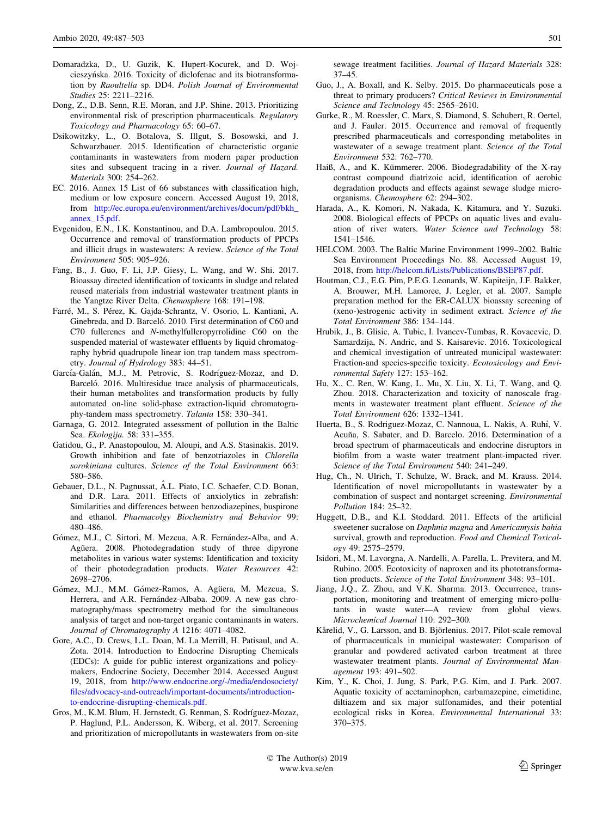- <span id="page-14-0"></span>Domaradzka, D., U. Guzik, K. Hupert-Kocurek, and D. Wojcieszyn´ska. 2016. Toxicity of diclofenac and its biotransformation by Raoultella sp. DD4. Polish Journal of Environmental Studies 25: 2211–2216.
- Dong, Z., D.B. Senn, R.E. Moran, and J.P. Shine. 2013. Prioritizing environmental risk of prescription pharmaceuticals. Regulatory Toxicology and Pharmacology 65: 60–67.
- Dsikowitzky, L., O. Botalova, S. Illgut, S. Bosowski, and J. Schwarzbauer. 2015. Identification of characteristic organic contaminants in wastewaters from modern paper production sites and subsequent tracing in a river. Journal of Hazard. Materials 300: 254–262.
- EC. 2016. Annex 15 List of 66 substances with classification high, medium or low exposure concern. Accessed August 19, 2018, from [http://ec.europa.eu/environment/archives/docum/pdf/bkh\\_](http://ec.europa.eu/environment/archives/docum/pdf/bkh_annex_15.pdf) [annex\\_15.pdf](http://ec.europa.eu/environment/archives/docum/pdf/bkh_annex_15.pdf).
- Evgenidou, E.N., I.K. Konstantinou, and D.A. Lambropoulou. 2015. Occurrence and removal of transformation products of PPCPs and illicit drugs in wastewaters: A review. Science of the Total Environment 505: 905–926.
- Fang, B., J. Guo, F. Li, J.P. Giesy, L. Wang, and W. Shi. 2017. Bioassay directed identification of toxicants in sludge and related reused materials from industrial wastewater treatment plants in the Yangtze River Delta. Chemosphere 168: 191–198.
- Farré, M., S. Pérez, K. Gajda-Schrantz, V. Osorio, L. Kantiani, A. Ginebreda, and D. Barceló. 2010. First determination of C60 and C70 fullerenes and N-methylfulleropyrrolidine C60 on the suspended material of wastewater effluents by liquid chromatography hybrid quadrupole linear ion trap tandem mass spectrometry. Journal of Hydrology 383: 44–51.
- García-Galán, M.J., M. Petrovic, S. Rodríguez-Mozaz, and D. Barceló. 2016. Multiresidue trace analysis of pharmaceuticals, their human metabolites and transformation products by fully automated on-line solid-phase extraction-liquid chromatography-tandem mass spectrometry. Talanta 158: 330–341.
- Garnaga, G. 2012. Integrated assessment of pollution in the Baltic Sea. Ekologija. 58: 331–355.
- Gatidou, G., P. Anastopoulou, M. Aloupi, and A.S. Stasinakis. 2019. Growth inhibition and fate of benzotriazoles in Chlorella sorokiniana cultures. Science of the Total Environment 663: 580–586.
- Gebauer, D.L., N. Pagnussat, A.L. Piato, I.C. Schaefer, C.D. Bonan, and D.R. Lara. 2011. Effects of anxiolytics in zebrafish: Similarities and differences between benzodiazepines, buspirone and ethanol. Pharmacolgy Biochemistry and Behavior 99: 480–486.
- Gómez, M.J., C. Sirtori, M. Mezcua, A.R. Fernández-Alba, and A. Agüera. 2008. Photodegradation study of three dipyrone metabolites in various water systems: Identification and toxicity of their photodegradation products. Water Resources 42: 2698–2706.
- Gómez, M.J., M.M. Gómez-Ramos, A. Agüera, M. Mezcua, S. Herrera, and A.R. Fernández-Albaba. 2009. A new gas chromatography/mass spectrometry method for the simultaneous analysis of target and non-target organic contaminants in waters. Journal of Chromatography A 1216: 4071–4082.
- Gore, A.C., D. Crews, L.L. Doan, M. La Merrill, H. Patisaul, and A. Zota. 2014. Introduction to Endocrine Disrupting Chemicals (EDCs): A guide for public interest organizations and policymakers, Endocrine Society, December 2014. Accessed August 19, 2018, from [http://www.endocrine.org/-/media/endosociety/](http://www.endocrine.org/-/media/endosociety/files/advocacy-and-outreach/important-documents/introduction-to-endocrine-disrupting-chemicals.pdf) [files/advocacy-and-outreach/important-documents/introduction](http://www.endocrine.org/-/media/endosociety/files/advocacy-and-outreach/important-documents/introduction-to-endocrine-disrupting-chemicals.pdf)[to-endocrine-disrupting-chemicals.pdf.](http://www.endocrine.org/-/media/endosociety/files/advocacy-and-outreach/important-documents/introduction-to-endocrine-disrupting-chemicals.pdf)
- Gros, M., K.M. Blum, H. Jernstedt, G. Renman, S. Rodríguez-Mozaz, P. Haglund, P.L. Andersson, K. Wiberg, et al. 2017. Screening and prioritization of micropollutants in wastewaters from on-site

sewage treatment facilities. Journal of Hazard Materials 328: 37–45.

- Guo, J., A. Boxall, and K. Selby. 2015. Do pharmaceuticals pose a threat to primary producers? Critical Reviews in Environmental Science and Technology 45: 2565–2610.
- Gurke, R., M. Roessler, C. Marx, S. Diamond, S. Schubert, R. Oertel, and J. Fauler. 2015. Occurrence and removal of frequently prescribed pharmaceuticals and corresponding metabolites in wastewater of a sewage treatment plant. Science of the Total Environment 532: 762–770.
- Haiß, A., and K. Kümmerer. 2006. Biodegradability of the X-ray contrast compound diatrizoic acid, identification of aerobic degradation products and effects against sewage sludge microorganisms. Chemosphere 62: 294–302.
- Harada, A., K. Komori, N. Nakada, K. Kitamura, and Y. Suzuki. 2008. Biological effects of PPCPs on aquatic lives and evaluation of river waters. Water Science and Technology 58: 1541–1546.
- HELCOM. 2003. The Baltic Marine Environment 1999–2002. Baltic Sea Environment Proceedings No. 88. Accessed August 19, 2018, from <http://helcom.fi/Lists/Publications/BSEP87.pdf>.
- Houtman, C.J., E.G. Pim, P.E.G. Leonards, W. Kapiteijn, J.F. Bakker, A. Brouwer, M.H. Lamoree, J. Legler, et al. 2007. Sample preparation method for the ER-CALUX bioassay screening of (xeno-)estrogenic activity in sediment extract. Science of the Total Environment 386: 134–144.
- Hrubik, J., B. Glisic, A. Tubic, I. Ivancev-Tumbas, R. Kovacevic, D. Samardzija, N. Andric, and S. Kaisarevic. 2016. Toxicological and chemical investigation of untreated municipal wastewater: Fraction-and species-specific toxicity. Ecotoxicology and Environmental Safety 127: 153–162.
- Hu, X., C. Ren, W. Kang, L. Mu, X. Liu, X. Li, T. Wang, and Q. Zhou. 2018. Characterization and toxicity of nanoscale fragments in wastewater treatment plant effluent. Science of the Total Environment 626: 1332–1341.
- Huerta, B., S. Rodriguez-Mozaz, C. Nannoua, L. Nakis, A. Ruhí, V. Acuña, S. Sabater, and D. Barcelo. 2016. Determination of a broad spectrum of pharmaceuticals and endocrine disruptors in biofilm from a waste water treatment plant-impacted river. Science of the Total Environment 540: 241–249.
- Hug, Ch., N. Ulrich, T. Schulze, W. Brack, and M. Krauss. 2014. Identification of novel micropollutants in wastewater by a combination of suspect and nontarget screening. Environmental Pollution 184: 25–32.
- Huggett, D.B., and K.I. Stoddard. 2011. Effects of the artificial sweetener sucralose on Daphnia magna and Americamysis bahia survival, growth and reproduction. Food and Chemical Toxicology 49: 2575–2579.
- Isidori, M., M. Lavorgna, A. Nardelli, A. Parella, L. Previtera, and M. Rubino. 2005. Ecotoxicity of naproxen and its phototransformation products. Science of the Total Environment 348: 93–101.
- Jiang, J.Q., Z. Zhou, and V.K. Sharma. 2013. Occurrence, transportation, monitoring and treatment of emerging micro-pollutants in waste water—A review from global views. Microchemical Journal 110: 292–300.
- Kårelid, V., G. Larsson, and B. Björlenius. 2017. Pilot-scale removal of pharmaceuticals in municipal wastewater: Comparison of granular and powdered activated carbon treatment at three wastewater treatment plants. Journal of Environmental Management 193: 491–502.
- Kim, Y., K. Choi, J. Jung, S. Park, P.G. Kim, and J. Park. 2007. Aquatic toxicity of acetaminophen, carbamazepine, cimetidine, diltiazem and six major sulfonamides, and their potential ecological risks in Korea. Environmental International 33: 370–375.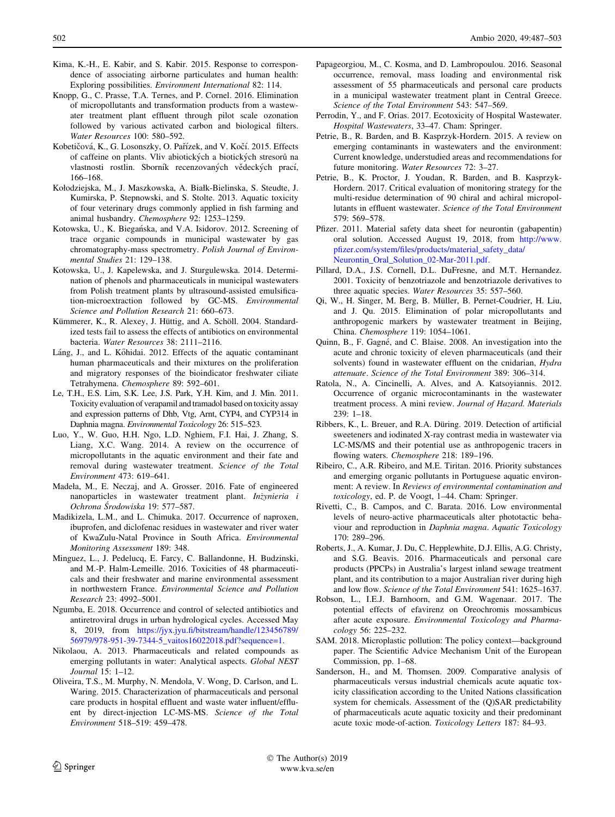- <span id="page-15-0"></span>Kima, K.-H., E. Kabir, and S. Kabir. 2015. Response to correspondence of associating airborne particulates and human health: Exploring possibilities. Environment International 82: 114.
- Knopp, G., C. Prasse, T.A. Ternes, and P. Cornel. 2016. Elimination of micropollutants and transformation products from a wastewater treatment plant effluent through pilot scale ozonation followed by various activated carbon and biological filters. Water Resources 100: 580–592.
- Kobetičová, K., G. Losonszky, O. Pařízek, and V. Kočí. 2015. Effects of caffeine on plants. Vliv abiotických a biotických stresorů na vlastnosti rostlin. Sborník recenzovaných vědeckých prací, 166–168.
- Kołodziejska, M., J. Maszkowska, A. Białk-Bielinska, S. Steudte, J. Kumirska, P. Stepnowski, and S. Stolte. 2013. Aquatic toxicity of four veterinary drugs commonly applied in fish farming and animal husbandry. Chemosphere 92: 1253–1259.
- Kotowska, U., K. Biegańska, and V.A. Isidorov. 2012. Screening of trace organic compounds in municipal wastewater by gas chromatography-mass spectrometry. Polish Journal of Environmental Studies 21: 129–138.
- Kotowska, U., J. Kapelewska, and J. Sturgulewska. 2014. Determination of phenols and pharmaceuticals in municipal wastewaters from Polish treatment plants by ultrasound-assisted emulsification-microextraction followed by GC-MS. Environmental Science and Pollution Research 21: 660–673.
- Kümmerer, K., R. Alexey, J. Hüttig, and A. Schöll. 2004. Standardized tests fail to assess the effects of antibiotics on environmental bacteria. Water Resources 38: 2111–2116.
- Láng, J., and L. Kőhidai. 2012. Effects of the aquatic contaminant human pharmaceuticals and their mixtures on the proliferation and migratory responses of the bioindicator freshwater ciliate Tetrahymena. Chemosphere 89: 592–601.
- Le, T.H., E.S. Lim, S.K. Lee, J.S. Park, Y.H. Kim, and J. Min. 2011. Toxicity evaluation of verapamil and tramadol based on toxicity assay and expression patterns of Dhb, Vtg, Arnt, CYP4, and CYP314 in Daphnia magna. Environmental Toxicology 26: 515–523.
- Luo, Y., W. Guo, H.H. Ngo, L.D. Nghiem, F.I. Hai, J. Zhang, S. Liang, X.C. Wang. 2014. A review on the occurrence of micropollutants in the aquatic environment and their fate and removal during wastewater treatment. Science of the Total Environment 473: 619–641.
- Madeła, M., E. Neczaj, and A. Grosser. 2016. Fate of engineered nanoparticles in wastewater treatment plant. Inzynieria i Ochrona Środowiska 19: 577–587.
- Madikizela, L.M., and L. Chimuka. 2017. Occurrence of naproxen, ibuprofen, and diclofenac residues in wastewater and river water of KwaZulu-Natal Province in South Africa. Environmental Monitoring Assessment 189: 348.
- Minguez, L., J. Pedelucq, E. Farcy, C. Ballandonne, H. Budzinski, and M.-P. Halm-Lemeille. 2016. Toxicities of 48 pharmaceuticals and their freshwater and marine environmental assessment in northwestern France. Environmental Science and Pollution Research 23: 4992–5001.
- Ngumba, E. 2018. Occurrence and control of selected antibiotics and antiretroviral drugs in urban hydrological cycles. Accessed May 8, 2019, from [https://jyx.jyu.fi/bitstream/handle/123456789/](https://jyx.jyu.fi/bitstream/handle/123456789/56979/978-951-39-7344-5_vaitos16022018.pdf%3fsequence%3d1) [56979/978-951-39-7344-5\\_vaitos16022018.pdf?sequence=1.](https://jyx.jyu.fi/bitstream/handle/123456789/56979/978-951-39-7344-5_vaitos16022018.pdf%3fsequence%3d1)
- Nikolaou, A. 2013. Pharmaceuticals and related compounds as emerging pollutants in water: Analytical aspects. Global NEST Journal 15: 1–12.
- Oliveira, T.S., M. Murphy, N. Mendola, V. Wong, D. Carlson, and L. Waring. 2015. Characterization of pharmaceuticals and personal care products in hospital effluent and waste water influent/effluent by direct-injection LC-MS-MS. Science of the Total Environment 518–519: 459–478.
- Papageorgiou, M., C. Kosma, and D. Lambropoulou. 2016. Seasonal occurrence, removal, mass loading and environmental risk assessment of 55 pharmaceuticals and personal care products in a municipal wastewater treatment plant in Central Greece. Science of the Total Environment 543: 547–569.
- Perrodin, Y., and F. Orias. 2017. Ecotoxicity of Hospital Wastewater. Hospital Wastewaters, 33–47. Cham: Springer.
- Petrie, B., R. Barden, and B. Kasprzyk-Hordern. 2015. A review on emerging contaminants in wastewaters and the environment: Current knowledge, understudied areas and recommendations for future monitoring. Water Resources 72: 3–27.
- Petrie, B., K. Proctor, J. Youdan, R. Barden, and B. Kasprzyk-Hordern. 2017. Critical evaluation of monitoring strategy for the multi-residue determination of 90 chiral and achiral micropollutants in effluent wastewater. Science of the Total Environment 579: 569–578.
- Pfizer. 2011. Material safety data sheet for neurontin (gabapentin) oral solution. Accessed August 19, 2018, from [http://www.](http://www.pfizer.com/system/files/products/material_safety_data/Neurontin_Oral_Solution_02-Mar-2011.pdf) [pfizer.com/system/files/products/material\\_safety\\_data/](http://www.pfizer.com/system/files/products/material_safety_data/Neurontin_Oral_Solution_02-Mar-2011.pdf) [Neurontin\\_Oral\\_Solution\\_02-Mar-2011.pdf.](http://www.pfizer.com/system/files/products/material_safety_data/Neurontin_Oral_Solution_02-Mar-2011.pdf)
- Pillard, D.A., J.S. Cornell, D.L. DuFresne, and M.T. Hernandez. 2001. Toxicity of benzotriazole and benzotriazole derivatives to three aquatic species. Water Resources 35: 557–560.
- Qi, W., H. Singer, M. Berg, B. Müller, B. Pernet-Coudrier, H. Liu, and J. Qu. 2015. Elimination of polar micropollutants and anthropogenic markers by wastewater treatment in Beijing, China. Chemosphere 119: 1054–1061.
- Quinn, B., F. Gagné, and C. Blaise. 2008. An investigation into the acute and chronic toxicity of eleven pharmaceuticals (and their solvents) found in wastewater effluent on the cnidarian, *Hydra* attenuate. Science of the Total Environment 389: 306–314.
- Ratola, N., A. Cincinelli, A. Alves, and A. Katsoyiannis. 2012. Occurrence of organic microcontaminants in the wastewater treatment process. A mini review. Journal of Hazard. Materials 239: 1–18.
- Ribbers, K., L. Breuer, and R.A. Düring. 2019. Detection of artificial sweeteners and iodinated X-ray contrast media in wastewater via LC-MS/MS and their potential use as anthropogenic tracers in flowing waters. Chemosphere 218: 189–196.
- Ribeiro, C., A.R. Ribeiro, and M.E. Tiritan. 2016. Priority substances and emerging organic pollutants in Portuguese aquatic environment: A review. In Reviews of environmental contamination and toxicology, ed. P. de Voogt, 1–44. Cham: Springer.
- Rivetti, C., B. Campos, and C. Barata. 2016. Low environmental levels of neuro-active pharmaceuticals alter phototactic behaviour and reproduction in Daphnia magna. Aquatic Toxicology 170: 289–296.
- Roberts, J., A. Kumar, J. Du, C. Hepplewhite, D.J. Ellis, A.G. Christy, and S.G. Beavis. 2016. Pharmaceuticals and personal care products (PPCPs) in Australia's largest inland sewage treatment plant, and its contribution to a major Australian river during high and low flow. Science of the Total Environment 541: 1625–1637.
- Robson, L., I.E.J. Barnhoorn, and G.M. Wagenaar. 2017. The potential effects of efavirenz on Oreochromis mossambicus after acute exposure. Environmental Toxicology and Pharmacology 56: 225–232.
- SAM. 2018. Microplastic pollution: The policy context—background paper. The Scientific Advice Mechanism Unit of the European Commission, pp. 1–68.
- Sanderson, H., and M. Thomsen. 2009. Comparative analysis of pharmaceuticals versus industrial chemicals acute aquatic toxicity classification according to the United Nations classification system for chemicals. Assessment of the (Q)SAR predictability of pharmaceuticals acute aquatic toxicity and their predominant acute toxic mode-of-action. Toxicology Letters 187: 84–93.